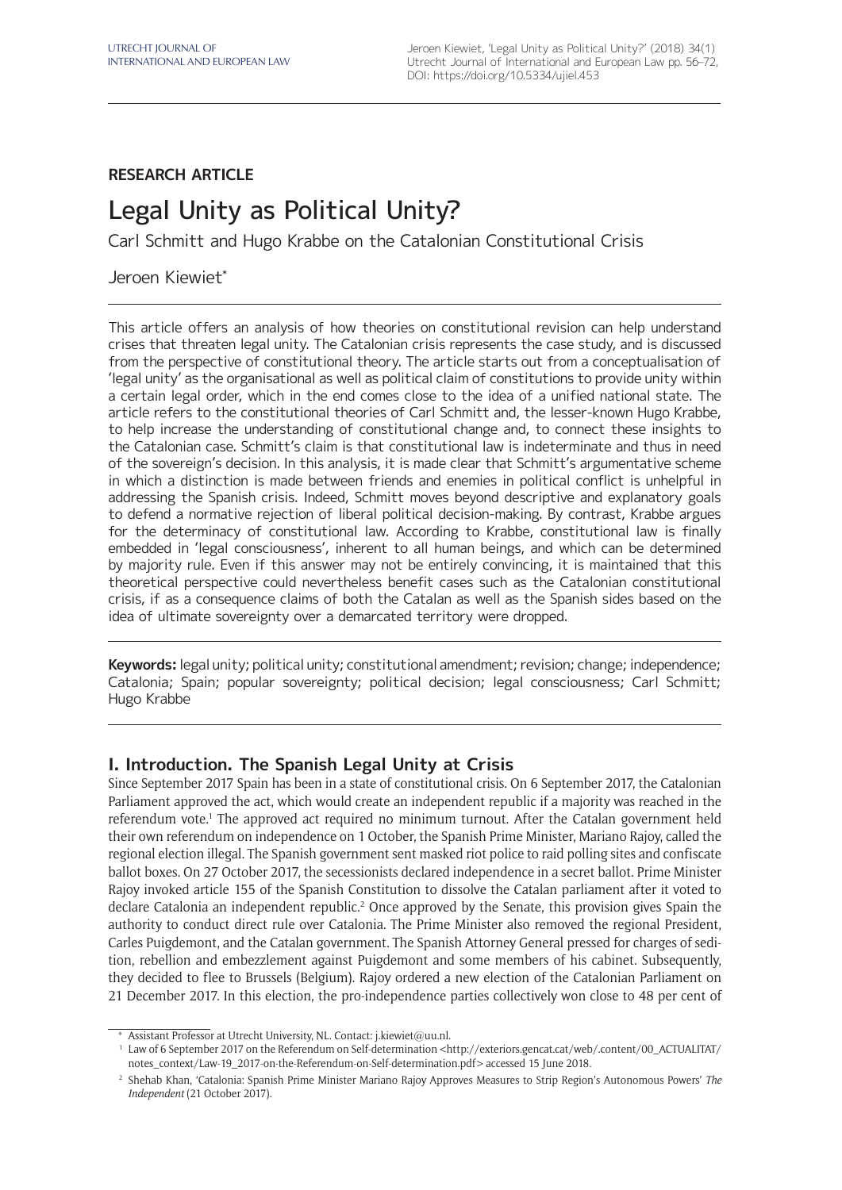## **RESEARCH ARTICLE**

# Legal Unity as Political Unity?

Carl Schmitt and Hugo Krabbe on the Catalonian Constitutional Crisis

### Jeroen Kiewiet\*

This article offers an analysis of how theories on constitutional revision can help understand crises that threaten legal unity. The Catalonian crisis represents the case study, and is discussed from the perspective of constitutional theory. The article starts out from a conceptualisation of 'legal unity' as the organisational as well as political claim of constitutions to provide unity within a certain legal order, which in the end comes close to the idea of a unified national state. The article refers to the constitutional theories of Carl Schmitt and, the lesser-known Hugo Krabbe, to help increase the understanding of constitutional change and, to connect these insights to the Catalonian case. Schmitt's claim is that constitutional law is indeterminate and thus in need of the sovereign's decision. In this analysis, it is made clear that Schmitt's argumentative scheme in which a distinction is made between friends and enemies in political conflict is unhelpful in addressing the Spanish crisis. Indeed, Schmitt moves beyond descriptive and explanatory goals to defend a normative rejection of liberal political decision-making. By contrast, Krabbe argues for the determinacy of constitutional law. According to Krabbe, constitutional law is finally embedded in 'legal consciousness', inherent to all human beings, and which can be determined by majority rule. Even if this answer may not be entirely convincing, it is maintained that this theoretical perspective could nevertheless benefit cases such as the Catalonian constitutional crisis, if as a consequence claims of both the Catalan as well as the Spanish sides based on the idea of ultimate sovereignty over a demarcated territory were dropped.

**Keywords:** legal unity; political unity; constitutional amendment; revision; change; independence; Catalonia; Spain; popular sovereignty; political decision; legal consciousness; Carl Schmitt; Hugo Krabbe

## **I. Introduction. The Spanish Legal Unity at Crisis**

Since September 2017 Spain has been in a state of constitutional crisis. On 6 September 2017, the Catalonian Parliament approved the act, which would create an independent republic if a majority was reached in the referendum vote.<sup>1</sup> The approved act required no minimum turnout. After the Catalan government held their own referendum on independence on 1 October, the Spanish Prime Minister, Mariano Rajoy, called the regional election illegal. The Spanish government sent masked riot police to raid polling sites and confiscate ballot boxes. On 27 October 2017, the secessionists declared independence in a secret ballot. Prime Minister Rajoy invoked article 155 of the Spanish Constitution to dissolve the Catalan parliament after it voted to declare Catalonia an independent republic.<sup>2</sup> Once approved by the Senate, this provision gives Spain the authority to conduct direct rule over Catalonia. The Prime Minister also removed the regional President, Carles Puigdemont, and the Catalan government. The Spanish Attorney General pressed for charges of sedition, rebellion and embezzlement against Puigdemont and some members of his cabinet. Subsequently, they decided to flee to Brussels (Belgium). Rajoy ordered a new election of the Catalonian Parliament on 21 December 2017. In this election, the pro-independence parties collectively won close to 48 per cent of

<sup>\*</sup> Assistant Professor at Utrecht University, NL. Contact: [j.kiewiet@uu.nl](mailto:j.kiewiet@uu.nl).

<sup>&</sup>lt;sup>1</sup> Law of 6 September 2017 on the Referendum on Self-determination <[http://exteriors.gencat.cat/web/.content/00\\_ACTUALITAT/](http://exteriors.gencat.cat/web/.content/00_ACTUALITAT/notes_context/Law-19_2017-on-the-Referendum-on-Self-determination.pdf) [notes\\_context/Law-19\\_2017-on-the-Referendum-on-Self-determination.pdf](http://exteriors.gencat.cat/web/.content/00_ACTUALITAT/notes_context/Law-19_2017-on-the-Referendum-on-Self-determination.pdf)> accessed 15 June 2018.

<sup>2</sup> Shehab Khan, 'Catalonia: Spanish Prime Minister Mariano Rajoy Approves Measures to Strip Region's Autonomous Powers' *The Independent* (21 October 2017).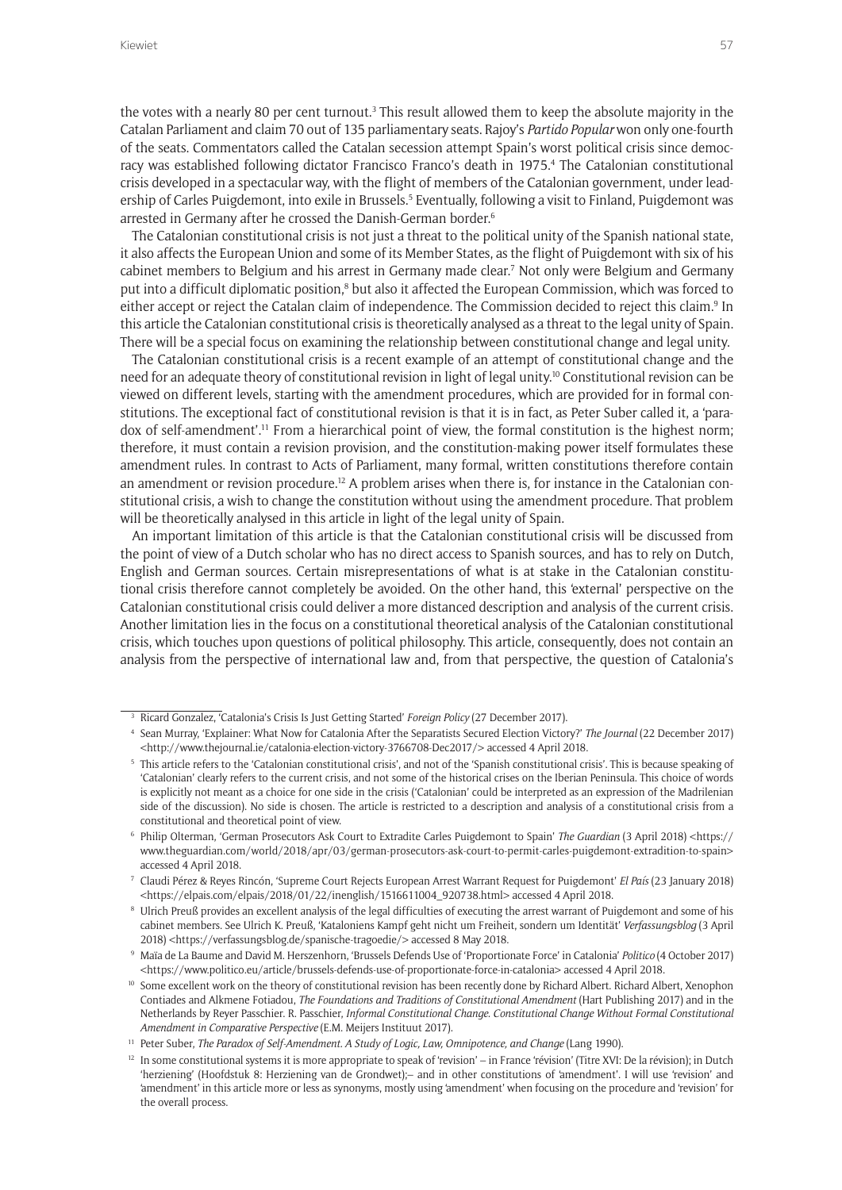the votes with a nearly 80 per cent turnout. $3$  This result allowed them to keep the absolute majority in the Catalan Parliament and claim 70 out of 135 parliamentary seats. Rajoy's *Partido Popular* won only one-fourth of the seats. Commentators called the Catalan secession attempt Spain's worst political crisis since democracy was established following dictator Francisco Franco's death in 1975.4 The Catalonian constitutional crisis developed in a spectacular way, with the flight of members of the Catalonian government, under leadership of Carles Puigdemont, into exile in Brussels.<sup>5</sup> Eventually, following a visit to Finland, Puigdemont was arrested in Germany after he crossed the Danish-German border.<sup>6</sup>

The Catalonian constitutional crisis is not just a threat to the political unity of the Spanish national state, it also affects the European Union and some of its Member States, as the flight of Puigdemont with six of his cabinet members to Belgium and his arrest in Germany made clear.<sup>7</sup> Not only were Belgium and Germany put into a difficult diplomatic position,<sup>8</sup> but also it affected the European Commission, which was forced to either accept or reject the Catalan claim of independence. The Commission decided to reject this claim.<sup>9</sup> In this article the Catalonian constitutional crisis is theoretically analysed as a threat to the legal unity of Spain. There will be a special focus on examining the relationship between constitutional change and legal unity.

The Catalonian constitutional crisis is a recent example of an attempt of constitutional change and the need for an adequate theory of constitutional revision in light of legal unity.<sup>10</sup> Constitutional revision can be viewed on different levels, starting with the amendment procedures, which are provided for in formal constitutions. The exceptional fact of constitutional revision is that it is in fact, as Peter Suber called it, a 'paradox of self-amendment'.11 From a hierarchical point of view, the formal constitution is the highest norm; therefore, it must contain a revision provision, and the constitution-making power itself formulates these amendment rules. In contrast to Acts of Parliament, many formal, written constitutions therefore contain an amendment or revision procedure.<sup>12</sup> A problem arises when there is, for instance in the Catalonian constitutional crisis, a wish to change the constitution without using the amendment procedure. That problem will be theoretically analysed in this article in light of the legal unity of Spain.

An important limitation of this article is that the Catalonian constitutional crisis will be discussed from the point of view of a Dutch scholar who has no direct access to Spanish sources, and has to rely on Dutch, English and German sources. Certain misrepresentations of what is at stake in the Catalonian constitutional crisis therefore cannot completely be avoided. On the other hand, this 'external' perspective on the Catalonian constitutional crisis could deliver a more distanced description and analysis of the current crisis. Another limitation lies in the focus on a constitutional theoretical analysis of the Catalonian constitutional crisis, which touches upon questions of political philosophy. This article, consequently, does not contain an analysis from the perspective of international law and, from that perspective, the question of Catalonia's

<sup>3</sup> Ricard Gonzalez, 'Catalonia's Crisis Is Just Getting Started' *Foreign Policy* (27 December 2017).

<sup>4</sup> Sean Murray, 'Explainer: What Now for Catalonia After the Separatists Secured Election Victory?' *The Journal* (22 December 2017) <[http://www.thejournal.ie/catalonia-election-victory-3766708-Dec2017/>](http://www.thejournal.ie/catalonia-election-victory-3766708-Dec2017/) accessed 4 April 2018.

<sup>&</sup>lt;sup>5</sup> This article refers to the 'Catalonian constitutional crisis', and not of the 'Spanish constitutional crisis'. This is because speaking of 'Catalonian' clearly refers to the current crisis, and not some of the historical crises on the Iberian Peninsula. This choice of words is explicitly not meant as a choice for one side in the crisis ('Catalonian' could be interpreted as an expression of the Madrilenian side of the discussion). No side is chosen. The article is restricted to a description and analysis of a constitutional crisis from a constitutional and theoretical point of view.

<sup>6</sup> Philip Olterman, 'German Prosecutors Ask Court to Extradite Carles Puigdemont to Spain' *The Guardian* (3 April 2018) <[https://](https://www.theguardian.com/world/2018/apr/03/german-prosecutors-ask-court-to-permit-carles-puigdemont-extradition-to-spain) [www.theguardian.com/world/2018/apr/03/german-prosecutors-ask-court-to-permit-carles-puigdemont-extradition-to-spain>](https://www.theguardian.com/world/2018/apr/03/german-prosecutors-ask-court-to-permit-carles-puigdemont-extradition-to-spain) accessed 4 April 2018.

<sup>7</sup> Claudi Pérez & Reyes Rincón, 'Supreme Court Rejects European Arrest Warrant Request for Puigdemont' *El País* (23 January 2018) <[https://elpais.com/elpais/2018/01/22/inenglish/1516611004\\_920738.html>](https://elpais.com/elpais/2018/01/22/inenglish/1516611004_920738.html) accessed 4 April 2018.

<sup>8</sup> Ulrich Preuß provides an excellent analysis of the legal difficulties of executing the arrest warrant of Puigdemont and some of his cabinet members. See Ulrich K. Preuß, 'Kataloniens Kampf geht nicht um Freiheit, sondern um Identität' *Verfassungsblog* (3 April 2018) [<https://verfassungsblog.de/spanische-tragoedie/](https://verfassungsblog.de/spanische-tragoedie/)> accessed 8 May 2018.

<sup>9</sup> Maïa de La Baume and David M. Herszenhorn, 'Brussels Defends Use of 'Proportionate Force' in Catalonia' *Politico* (4 October 2017) <<https://www.politico.eu/article/brussels-defends-use-of-proportionate-force-in-catalonia>> accessed 4 April 2018.

<sup>&</sup>lt;sup>10</sup> Some excellent work on the theory of constitutional revision has been recently done by Richard Albert. Richard Albert, Xenophon Contiades and Alkmene Fotiadou, *The Foundations and Traditions of Constitutional Amendment* (Hart Publishing 2017) and in the Netherlands by Reyer Passchier. R. Passchier, *Informal Constitutional Change. Constitutional Change Without Formal Constitutional Amendment in Comparative Perspective* (E.M. Meijers Instituut 2017).

<sup>&</sup>lt;sup>11</sup> Peter Suber, *The Paradox of Self-Amendment. A Study of Logic, Law, Omnipotence, and Change* (Lang 1990).

 $12$  In some constitutional systems it is more appropriate to speak of 'revision' – in France 'révision' (Titre XVI: De la révision); in Dutch 'herziening' (Hoofdstuk 8: Herziening van de Grondwet);– and in other constitutions of 'amendment'. I will use 'revision' and 'amendment' in this article more or less as synonyms, mostly using 'amendment' when focusing on the procedure and 'revision' for the overall process.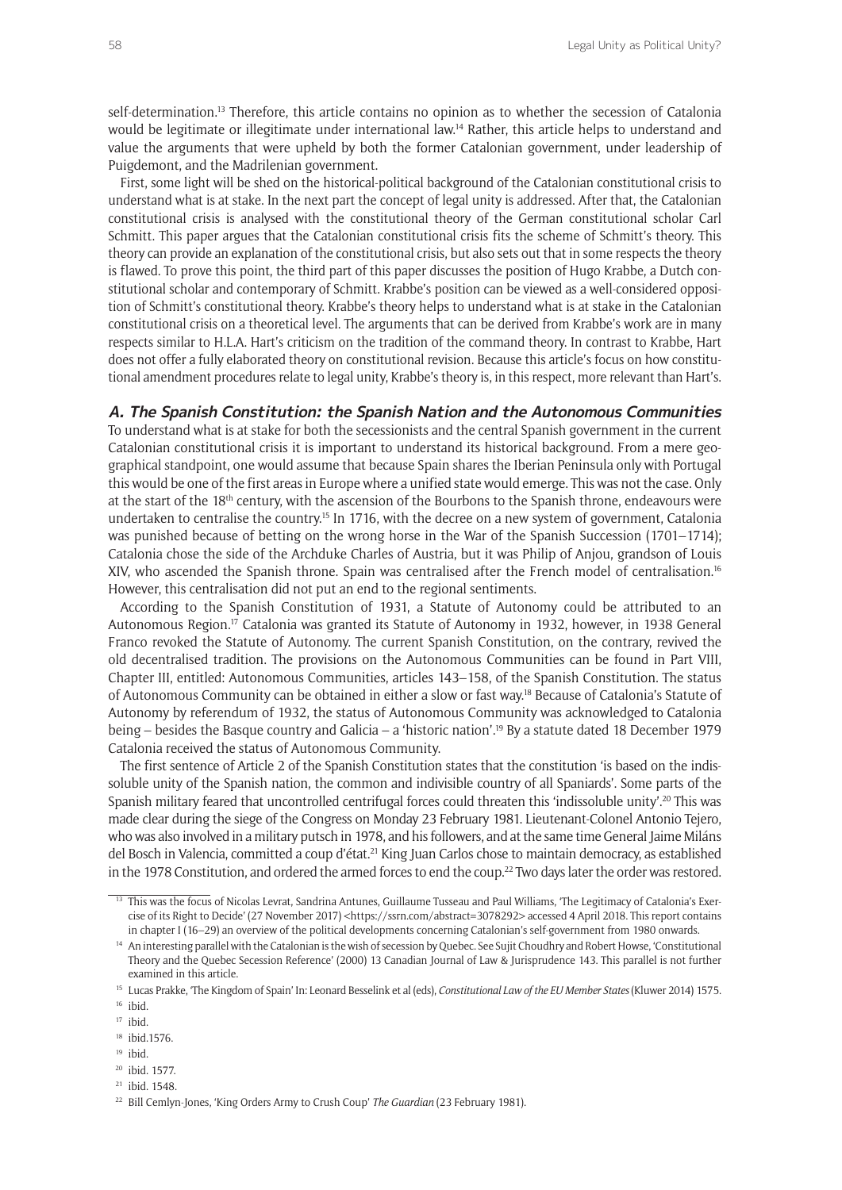self-determination.13 Therefore, this article contains no opinion as to whether the secession of Catalonia would be legitimate or illegitimate under international law.<sup>14</sup> Rather, this article helps to understand and value the arguments that were upheld by both the former Catalonian government, under leadership of Puigdemont, and the Madrilenian government.

First, some light will be shed on the historical-political background of the Catalonian constitutional crisis to understand what is at stake. In the next part the concept of legal unity is addressed. After that, the Catalonian constitutional crisis is analysed with the constitutional theory of the German constitutional scholar Carl Schmitt. This paper argues that the Catalonian constitutional crisis fits the scheme of Schmitt's theory. This theory can provide an explanation of the constitutional crisis, but also sets out that in some respects the theory is flawed. To prove this point, the third part of this paper discusses the position of Hugo Krabbe, a Dutch constitutional scholar and contemporary of Schmitt. Krabbe's position can be viewed as a well-considered opposition of Schmitt's constitutional theory. Krabbe's theory helps to understand what is at stake in the Catalonian constitutional crisis on a theoretical level. The arguments that can be derived from Krabbe's work are in many respects similar to H.L.A. Hart's criticism on the tradition of the command theory. In contrast to Krabbe, Hart does not offer a fully elaborated theory on constitutional revision. Because this article's focus on how constitutional amendment procedures relate to legal unity, Krabbe's theory is, in this respect, more relevant than Hart's.

### **A. The Spanish Constitution: the Spanish Nation and the Autonomous Communities**

To understand what is at stake for both the secessionists and the central Spanish government in the current Catalonian constitutional crisis it is important to understand its historical background. From a mere geographical standpoint, one would assume that because Spain shares the Iberian Peninsula only with Portugal this would be one of the first areas in Europe where a unified state would emerge. This was not the case. Only at the start of the 18th century, with the ascension of the Bourbons to the Spanish throne, endeavours were undertaken to centralise the country.15 In 1716, with the decree on a new system of government, Catalonia was punished because of betting on the wrong horse in the War of the Spanish Succession (1701–1714); Catalonia chose the side of the Archduke Charles of Austria, but it was Philip of Anjou, grandson of Louis XIV, who ascended the Spanish throne. Spain was centralised after the French model of centralisation.16 However, this centralisation did not put an end to the regional sentiments.

According to the Spanish Constitution of 1931, a Statute of Autonomy could be attributed to an Autonomous Region.17 Catalonia was granted its Statute of Autonomy in 1932, however, in 1938 General Franco revoked the Statute of Autonomy. The current Spanish Constitution, on the contrary, revived the old decentralised tradition. The provisions on the Autonomous Communities can be found in Part VIII, Chapter III, entitled: Autonomous Communities, articles 143–158, of the Spanish Constitution. The status of Autonomous Community can be obtained in either a slow or fast way.18 Because of Catalonia's Statute of Autonomy by referendum of 1932, the status of Autonomous Community was acknowledged to Catalonia being – besides the Basque country and Galicia – a 'historic nation'.19 By a statute dated 18 December 1979 Catalonia received the status of Autonomous Community.

The first sentence of Article 2 of the Spanish Constitution states that the constitution 'is based on the indissoluble unity of the Spanish nation, the common and indivisible country of all Spaniards'. Some parts of the Spanish military feared that uncontrolled centrifugal forces could threaten this 'indissoluble unity'.20 This was made clear during the siege of the Congress on Monday 23 February 1981. Lieutenant-Colonel Antonio Tejero, who was also involved in a military putsch in 1978, and his followers, and at the same time General Jaime Miláns del Bosch in Valencia, committed a coup d'état.<sup>21</sup> King Juan Carlos chose to maintain democracy, as established in the 1978 Constitution, and ordered the armed forces to end the coup.22 Two days later the order was restored.

- <sup>18</sup> ibid.1576.
- <sup>19</sup> ibid.
- <sup>20</sup> ibid. 1577.
- <sup>21</sup> ibid. 1548.

<sup>13</sup> This was the focus of Nicolas Levrat, Sandrina Antunes, Guillaume Tusseau and Paul Williams, 'The Legitimacy of Catalonia's Exercise of its Right to Decide' (27 November 2017) <[https://ssrn.com/abstract=3078292>](https://ssrn.com/abstract=3078292) accessed 4 April 2018. This report contains in chapter I (16–29) an overview of the political developments concerning Catalonian's self-government from 1980 onwards.

<sup>&</sup>lt;sup>14</sup> An interesting parallel with the Catalonian is the wish of secession by Quebec. See Sujit Choudhry and Robert Howse, 'Constitutional Theory and the Quebec Secession Reference' (2000) 13 Canadian Journal of Law & Jurisprudence 143. This parallel is not further examined in this article.

<sup>15</sup> Lucas Prakke, 'The Kingdom of Spain' In: Leonard Besselink et al (eds), *Constitutional Law of the EU Member States* (Kluwer 2014) 1575.  $16$  ibid.

<sup>17</sup> ibid.

<sup>22</sup> Bill Cemlyn-Jones, 'King Orders Army to Crush Coup' *The Guardian* (23 February 1981).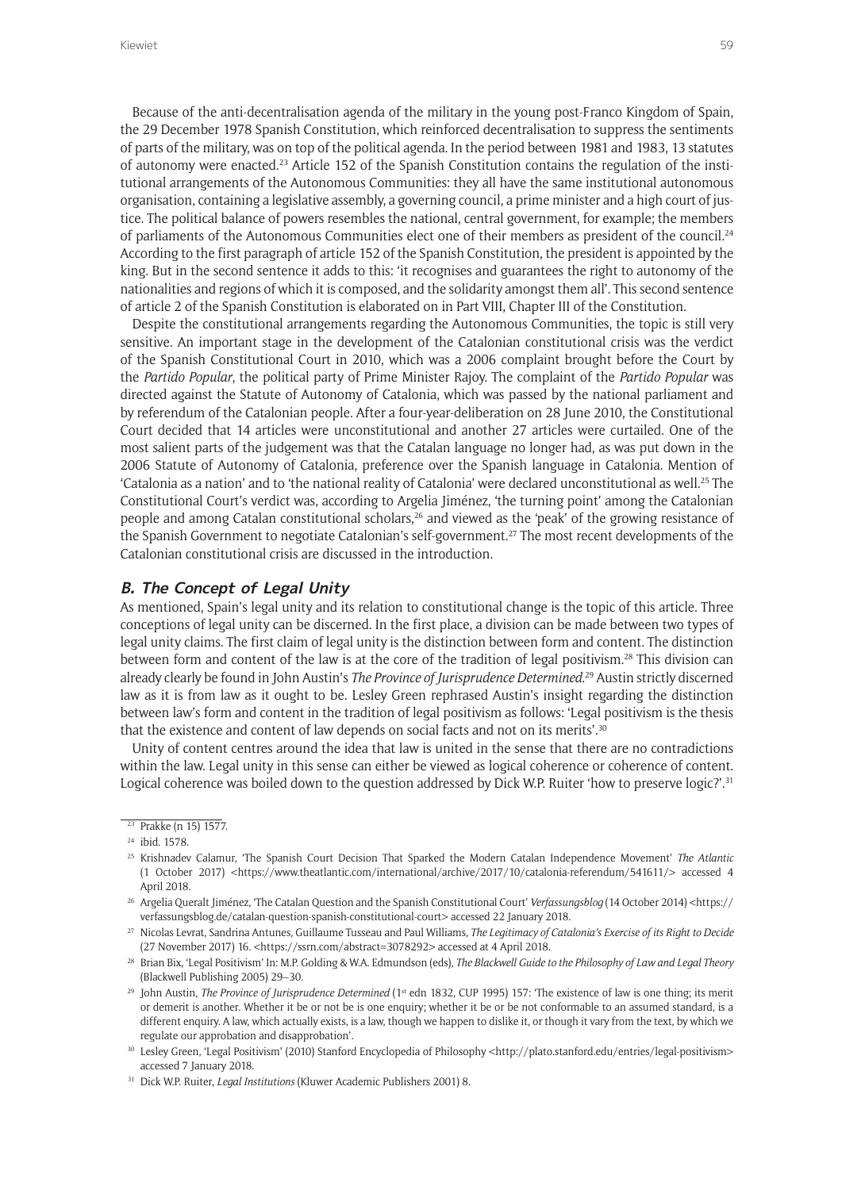Because of the anti-decentralisation agenda of the military in the young post-Franco Kingdom of Spain, the 29 December 1978 Spanish Constitution, which reinforced decentralisation to suppress the sentiments of parts of the military, was on top of the political agenda. In the period between 1981 and 1983, 13 statutes of autonomy were enacted.23 Article 152 of the Spanish Constitution contains the regulation of the institutional arrangements of the Autonomous Communities: they all have the same institutional autonomous organisation, containing a legislative assembly, a governing council, a prime minister and a high court of justice. The political balance of powers resembles the national, central government, for example; the members of parliaments of the Autonomous Communities elect one of their members as president of the council.<sup>24</sup> According to the first paragraph of article 152 of the Spanish Constitution, the president is appointed by the king. But in the second sentence it adds to this: 'it recognises and guarantees the right to autonomy of the nationalities and regions of which it is composed, and the solidarity amongst them all'. This second sentence of article 2 of the Spanish Constitution is elaborated on in Part VIII, Chapter III of the Constitution.

Despite the constitutional arrangements regarding the Autonomous Communities, the topic is still very sensitive. An important stage in the development of the Catalonian constitutional crisis was the verdict of the Spanish Constitutional Court in 2010, which was a 2006 complaint brought before the Court by the *Partido Popular*, the political party of Prime Minister Rajoy. The complaint of the *Partido Popular* was directed against the Statute of Autonomy of Catalonia, which was passed by the national parliament and by referendum of the Catalonian people. After a four-year-deliberation on 28 June 2010, the Constitutional Court decided that 14 articles were unconstitutional and another 27 articles were curtailed. One of the most salient parts of the judgement was that the Catalan language no longer had, as was put down in the 2006 Statute of Autonomy of Catalonia, preference over the Spanish language in Catalonia. Mention of 'Catalonia as a nation' and to 'the national reality of Catalonia' were declared unconstitutional as well.25 The Constitutional Court's verdict was, according to Argelia Jiménez, 'the turning point' among the Catalonian people and among Catalan constitutional scholars,26 and viewed as the 'peak' of the growing resistance of the Spanish Government to negotiate Catalonian's self-government.27 The most recent developments of the Catalonian constitutional crisis are discussed in the introduction.

### **B. The Concept of Legal Unity**

As mentioned, Spain's legal unity and its relation to constitutional change is the topic of this article. Three conceptions of legal unity can be discerned. In the first place, a division can be made between two types of legal unity claims. The first claim of legal unity is the distinction between form and content. The distinction between form and content of the law is at the core of the tradition of legal positivism.<sup>28</sup> This division can already clearly be found in John Austin's *The Province of Jurisprudence Determined*. 29 Austin strictly discerned law as it is from law as it ought to be. Lesley Green rephrased Austin's insight regarding the distinction between law's form and content in the tradition of legal positivism as follows: 'Legal positivism is the thesis that the existence and content of law depends on social facts and not on its merits'.<sup>30</sup>

Unity of content centres around the idea that law is united in the sense that there are no contradictions within the law. Legal unity in this sense can either be viewed as logical coherence or coherence of content. Logical coherence was boiled down to the question addressed by Dick W.P. Ruiter 'how to preserve logic?'.<sup>31</sup>

<sup>&</sup>lt;sup>23</sup> Prakke (n 15) 1577.

<sup>24</sup> ibid. 1578.

<sup>25</sup> Krishnadev Calamur, 'The Spanish Court Decision That Sparked the Modern Catalan Independence Movement' *The Atlantic*  (1 October 2017) [<https://www.theatlantic.com/international/archive/2017/10/catalonia-referendum/541611/](https://www.theatlantic.com/international/archive/2017/10/catalonia-referendum/541611/)> accessed 4 April 2018.

<sup>26</sup> Argelia Queralt Jiménez, 'The Catalan Question and the Spanish Constitutional Court' *Verfassungsblog* (14 October 2014) [<https://](https://verfassungsblog.de/catalan-question-spanish-constitutional-court) [verfassungsblog.de/catalan-question-spanish-constitutional-court](https://verfassungsblog.de/catalan-question-spanish-constitutional-court)> accessed 22 January 2018.

<sup>27</sup> Nicolas Levrat, Sandrina Antunes, Guillaume Tusseau and Paul Williams, *The Legitimacy of Catalonia's Exercise of its Right to Decide*  (27 November 2017) 16. [<https://ssrn.com/abstract=3078292](https://ssrn.com/abstract=3078292)> accessed at 4 April 2018.

<sup>28</sup> Brian Bix, 'Legal Positivism' In: M.P. Golding & W.A. Edmundson (eds), *The Blackwell Guide to the Philosophy of Law and Legal Theory* (Blackwell Publishing 2005) 29–30.

<sup>&</sup>lt;sup>29</sup> John Austin, *The Province of Jurisprudence Determined* (1<sup>st</sup> edn 1832, CUP 1995) 157: 'The existence of law is one thing; its merit or demerit is another. Whether it be or not be is one enquiry; whether it be or be not conformable to an assumed standard, is a different enquiry. A law, which actually exists, is a law, though we happen to dislike it, or though it vary from the text, by which we regulate our approbation and disapprobation'.

<sup>30</sup> Lesley Green, 'Legal Positivism' (2010) Stanford Encyclopedia of Philosophy [<http://plato.stanford.edu/entries/legal-positivism>](http://plato.stanford.edu/entries/legal-positivism) accessed 7 January 2018.

<sup>31</sup> Dick W.P. Ruiter, *Legal Institutions* (Kluwer Academic Publishers 2001) 8.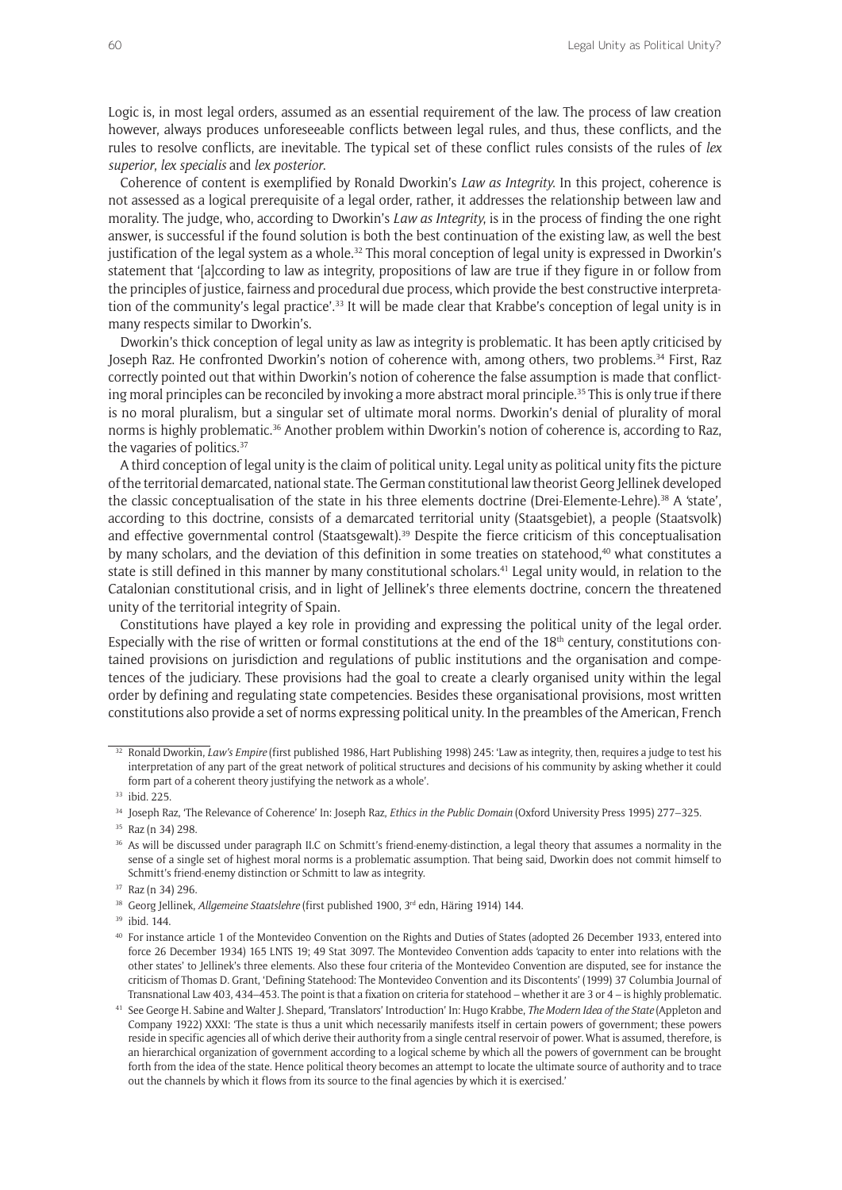Logic is, in most legal orders, assumed as an essential requirement of the law. The process of law creation however, always produces unforeseeable conflicts between legal rules, and thus, these conflicts, and the rules to resolve conflicts, are inevitable. The typical set of these conflict rules consists of the rules of *lex superior*, *lex specialis* and *lex posterior*.

Coherence of content is exemplified by Ronald Dworkin's *Law as Integrity*. In this project, coherence is not assessed as a logical prerequisite of a legal order, rather, it addresses the relationship between law and morality. The judge, who, according to Dworkin's *Law as Integrity*, is in the process of finding the one right answer, is successful if the found solution is both the best continuation of the existing law, as well the best justification of the legal system as a whole.<sup>32</sup> This moral conception of legal unity is expressed in Dworkin's statement that '[a]ccording to law as integrity, propositions of law are true if they figure in or follow from the principles of justice, fairness and procedural due process, which provide the best constructive interpretation of the community's legal practice'.33 It will be made clear that Krabbe's conception of legal unity is in many respects similar to Dworkin's.

Dworkin's thick conception of legal unity as law as integrity is problematic. It has been aptly criticised by Joseph Raz. He confronted Dworkin's notion of coherence with, among others, two problems.<sup>34</sup> First, Raz correctly pointed out that within Dworkin's notion of coherence the false assumption is made that conflicting moral principles can be reconciled by invoking a more abstract moral principle.<sup>35</sup> This is only true if there is no moral pluralism, but a singular set of ultimate moral norms. Dworkin's denial of plurality of moral norms is highly problematic.<sup>36</sup> Another problem within Dworkin's notion of coherence is, according to Raz, the vagaries of politics.37

A third conception of legal unity is the claim of political unity. Legal unity as political unity fits the picture of the territorial demarcated, national state. The German constitutional law theorist Georg Jellinek developed the classic conceptualisation of the state in his three elements doctrine (Drei-Elemente-Lehre).38 A 'state', according to this doctrine, consists of a demarcated territorial unity (Staatsgebiet), a people (Staatsvolk) and effective governmental control (Staatsgewalt).39 Despite the fierce criticism of this conceptualisation by many scholars, and the deviation of this definition in some treaties on statehood,<sup>40</sup> what constitutes a state is still defined in this manner by many constitutional scholars.<sup>41</sup> Legal unity would, in relation to the Catalonian constitutional crisis, and in light of Jellinek's three elements doctrine, concern the threatened unity of the territorial integrity of Spain.

Constitutions have played a key role in providing and expressing the political unity of the legal order. Especially with the rise of written or formal constitutions at the end of the  $18<sup>th</sup>$  century, constitutions contained provisions on jurisdiction and regulations of public institutions and the organisation and competences of the judiciary. These provisions had the goal to create a clearly organised unity within the legal order by defining and regulating state competencies. Besides these organisational provisions, most written constitutions also provide a set of norms expressing political unity. In the preambles of the American, French

<sup>&</sup>lt;sup>32</sup> Ronald Dworkin, *Law's Empire* (first published 1986, Hart Publishing 1998) 245: 'Law as integrity, then, requires a judge to test his interpretation of any part of the great network of political structures and decisions of his community by asking whether it could form part of a coherent theory justifying the network as a whole'.

<sup>&</sup>lt;sup>33</sup> ibid. 225.

<sup>34</sup> Joseph Raz, 'The Relevance of Coherence' In: Joseph Raz, *Ethics in the Public Domain* (Oxford University Press 1995) 277–325.

<sup>35</sup> Raz (n 34) 298.

<sup>36</sup> As will be discussed under paragraph II.C on Schmitt's friend-enemy-distinction, a legal theory that assumes a normality in the sense of a single set of highest moral norms is a problematic assumption. That being said, Dworkin does not commit himself to Schmitt's friend-enemy distinction or Schmitt to law as integrity.

<sup>37</sup> Raz (n 34) 296.

<sup>&</sup>lt;sup>38</sup> Georg Jellinek, *Allgemeine Staatslehre* (first published 1900, 3<sup>rd</sup> edn, Häring 1914) 144.

<sup>39</sup> ibid. 144.

<sup>40</sup> For instance article 1 of the Montevideo Convention on the Rights and Duties of States (adopted 26 December 1933, entered into force 26 December 1934) 165 LNTS 19; 49 Stat 3097. The Montevideo Convention adds 'capacity to enter into relations with the other states' to Jellinek's three elements. Also these four criteria of the Montevideo Convention are disputed, see for instance the criticism of Thomas D. Grant, 'Defining Statehood: The Montevideo Convention and its Discontents' (1999) 37 Columbia Journal of Transnational Law 403, 434–453. The point is that a fixation on criteria for statehood – whether it are 3 or 4 – is highly problematic.

<sup>41</sup> See George H. Sabine and Walter J. Shepard, 'Translators' Introduction' In: Hugo Krabbe, *The Modern Idea of the State* (Appleton and Company 1922) XXXI: 'The state is thus a unit which necessarily manifests itself in certain powers of government; these powers reside in specific agencies all of which derive their authority from a single central reservoir of power. What is assumed, therefore, is an hierarchical organization of government according to a logical scheme by which all the powers of government can be brought forth from the idea of the state. Hence political theory becomes an attempt to locate the ultimate source of authority and to trace out the channels by which it flows from its source to the final agencies by which it is exercised.'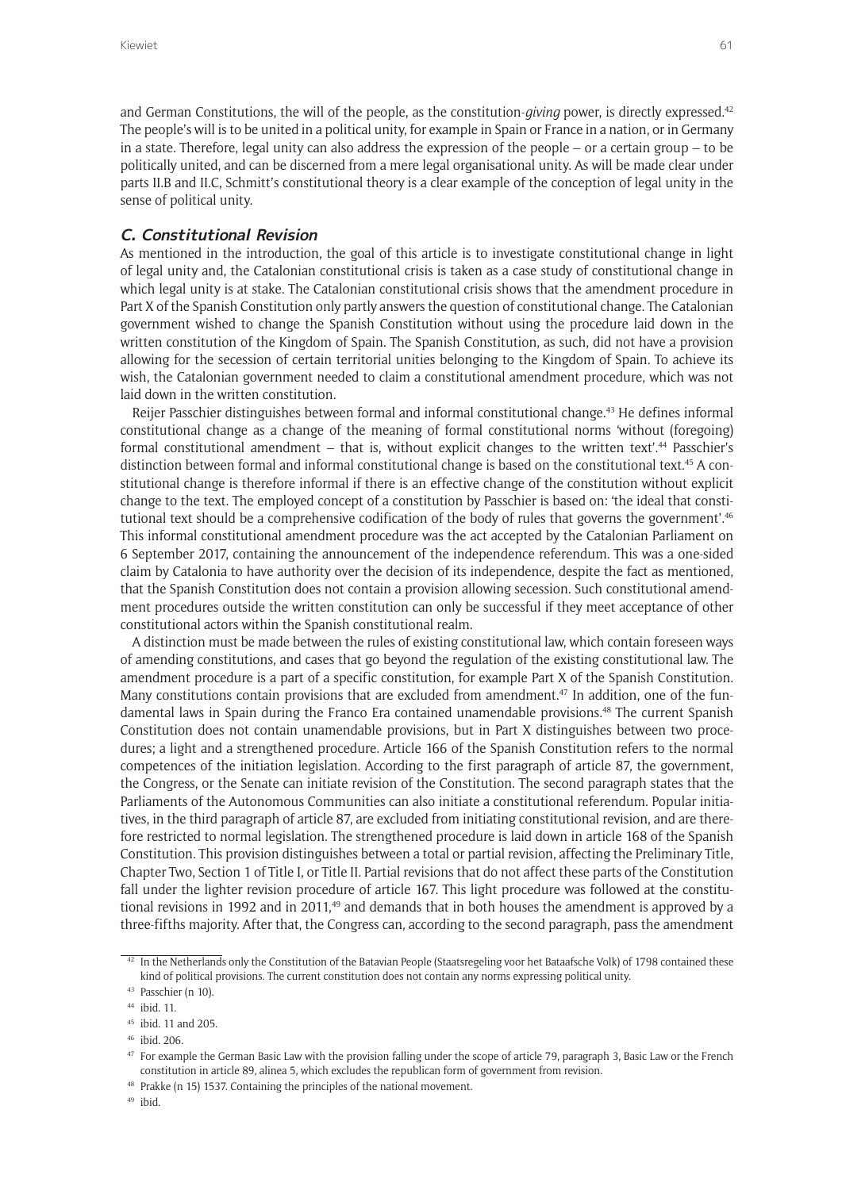and German Constitutions, the will of the people, as the constitution-*giving* power, is directly expressed.42 The people's will is to be united in a political unity, for example in Spain or France in a nation, or in Germany in a state. Therefore, legal unity can also address the expression of the people – or a certain group – to be politically united, and can be discerned from a mere legal organisational unity. As will be made clear under parts II.B and II.C, Schmitt's constitutional theory is a clear example of the conception of legal unity in the sense of political unity.

### **C. Constitutional Revision**

As mentioned in the introduction, the goal of this article is to investigate constitutional change in light of legal unity and, the Catalonian constitutional crisis is taken as a case study of constitutional change in which legal unity is at stake. The Catalonian constitutional crisis shows that the amendment procedure in Part X of the Spanish Constitution only partly answers the question of constitutional change. The Catalonian government wished to change the Spanish Constitution without using the procedure laid down in the written constitution of the Kingdom of Spain. The Spanish Constitution, as such, did not have a provision allowing for the secession of certain territorial unities belonging to the Kingdom of Spain. To achieve its wish, the Catalonian government needed to claim a constitutional amendment procedure, which was not laid down in the written constitution.

Reijer Passchier distinguishes between formal and informal constitutional change.43 He defines informal constitutional change as a change of the meaning of formal constitutional norms 'without (foregoing) formal constitutional amendment – that is, without explicit changes to the written text'.44 Passchier's distinction between formal and informal constitutional change is based on the constitutional text.<sup>45</sup> A constitutional change is therefore informal if there is an effective change of the constitution without explicit change to the text. The employed concept of a constitution by Passchier is based on: 'the ideal that constitutional text should be a comprehensive codification of the body of rules that governs the government'.<sup>46</sup> This informal constitutional amendment procedure was the act accepted by the Catalonian Parliament on 6 September 2017, containing the announcement of the independence referendum. This was a one-sided claim by Catalonia to have authority over the decision of its independence, despite the fact as mentioned, that the Spanish Constitution does not contain a provision allowing secession. Such constitutional amendment procedures outside the written constitution can only be successful if they meet acceptance of other constitutional actors within the Spanish constitutional realm.

A distinction must be made between the rules of existing constitutional law, which contain foreseen ways of amending constitutions, and cases that go beyond the regulation of the existing constitutional law. The amendment procedure is a part of a specific constitution, for example Part X of the Spanish Constitution. Many constitutions contain provisions that are excluded from amendment.<sup>47</sup> In addition, one of the fundamental laws in Spain during the Franco Era contained unamendable provisions.<sup>48</sup> The current Spanish Constitution does not contain unamendable provisions, but in Part X distinguishes between two procedures; a light and a strengthened procedure. Article 166 of the Spanish Constitution refers to the normal competences of the initiation legislation. According to the first paragraph of article 87, the government, the Congress, or the Senate can initiate revision of the Constitution. The second paragraph states that the Parliaments of the Autonomous Communities can also initiate a constitutional referendum. Popular initiatives, in the third paragraph of article 87, are excluded from initiating constitutional revision, and are therefore restricted to normal legislation. The strengthened procedure is laid down in article 168 of the Spanish Constitution. This provision distinguishes between a total or partial revision, affecting the Preliminary Title, Chapter Two, Section 1 of Title I, or Title II. Partial revisions that do not affect these parts of the Constitution fall under the lighter revision procedure of article 167. This light procedure was followed at the constitutional revisions in 1992 and in 2011,<sup>49</sup> and demands that in both houses the amendment is approved by a three-fifths majority. After that, the Congress can, according to the second paragraph, pass the amendment

<sup>42</sup> In the Netherlands only the Constitution of the Batavian People (Staatsregeling voor het Bataafsche Volk) of 1798 contained these kind of political provisions. The current constitution does not contain any norms expressing political unity.

<sup>43</sup> Passchier (n 10).

<sup>44</sup> ibid. 11.

<sup>45</sup> ibid. 11 and 205.

<sup>46</sup> ibid. 206.

<sup>&</sup>lt;sup>47</sup> For example the German Basic Law with the provision falling under the scope of article 79, paragraph 3, Basic Law or the French constitution in article 89, alinea 5, which excludes the republican form of government from revision.

<sup>48</sup> Prakke (n 15) 1537. Containing the principles of the national movement.

<sup>49</sup> ibid.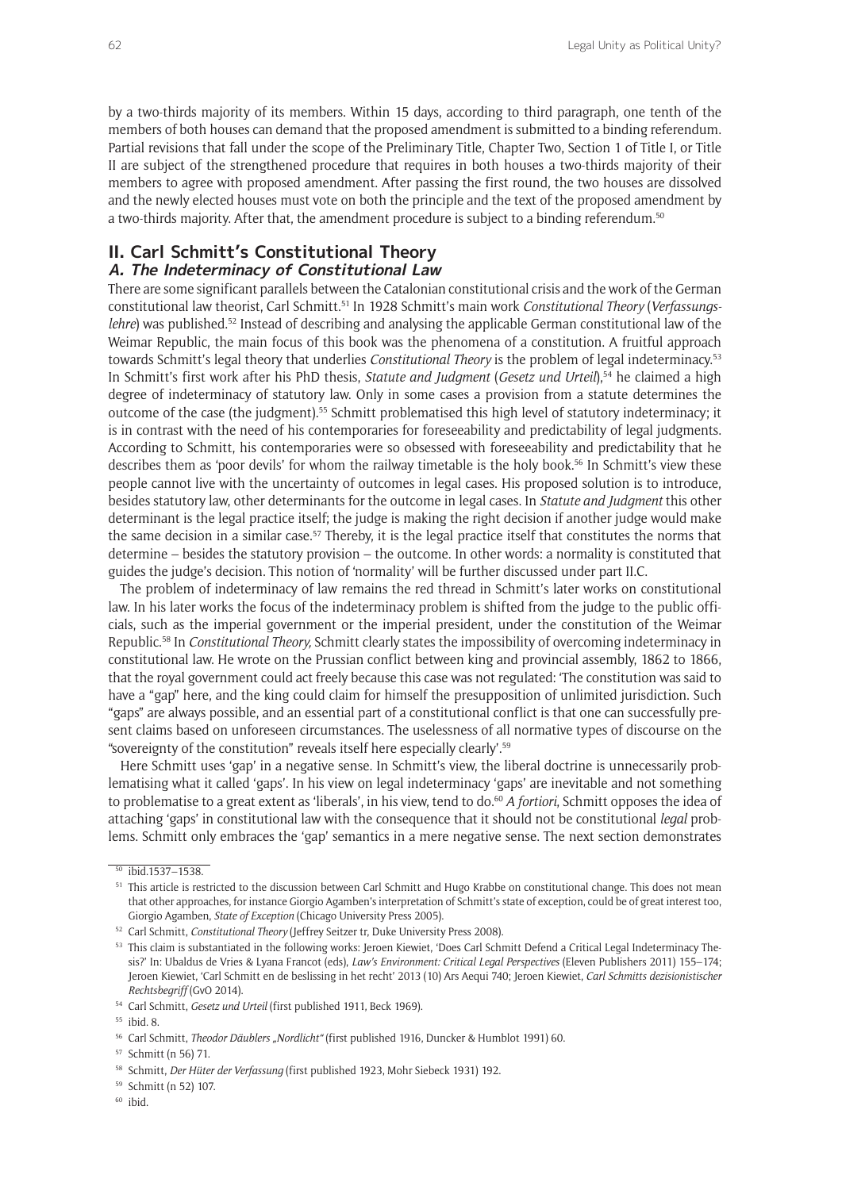by a two-thirds majority of its members. Within 15 days, according to third paragraph, one tenth of the members of both houses can demand that the proposed amendment is submitted to a binding referendum. Partial revisions that fall under the scope of the Preliminary Title, Chapter Two, Section 1 of Title I, or Title II are subject of the strengthened procedure that requires in both houses a two-thirds majority of their members to agree with proposed amendment. After passing the first round, the two houses are dissolved and the newly elected houses must vote on both the principle and the text of the proposed amendment by a two-thirds majority. After that, the amendment procedure is subject to a binding referendum.50

## **II. Carl Schmitt's Constitutional Theory**

## **A. The Indeterminacy of Constitutional Law**

There are some significant parallels between the Catalonian constitutional crisis and the work of the German constitutional law theorist, Carl Schmitt.51 In 1928 Schmitt's main work *Constitutional Theory* (*Verfassungslehre*) was published.<sup>52</sup> Instead of describing and analysing the applicable German constitutional law of the Weimar Republic, the main focus of this book was the phenomena of a constitution. A fruitful approach towards Schmitt's legal theory that underlies *Constitutional Theory* is the problem of legal indeterminacy.53 In Schmitt's first work after his PhD thesis, *Statute and Judgment (Gesetz und Urteil*),<sup>54</sup> he claimed a high degree of indeterminacy of statutory law. Only in some cases a provision from a statute determines the outcome of the case (the judgment).55 Schmitt problematised this high level of statutory indeterminacy; it is in contrast with the need of his contemporaries for foreseeability and predictability of legal judgments. According to Schmitt, his contemporaries were so obsessed with foreseeability and predictability that he describes them as 'poor devils' for whom the railway timetable is the holy book.<sup>56</sup> In Schmitt's view these people cannot live with the uncertainty of outcomes in legal cases. His proposed solution is to introduce, besides statutory law, other determinants for the outcome in legal cases. In *Statute and Judgment* this other determinant is the legal practice itself; the judge is making the right decision if another judge would make the same decision in a similar case.<sup>57</sup> Thereby, it is the legal practice itself that constitutes the norms that determine – besides the statutory provision – the outcome. In other words: a normality is constituted that guides the judge's decision. This notion of 'normality' will be further discussed under part II.C.

The problem of indeterminacy of law remains the red thread in Schmitt's later works on constitutional law. In his later works the focus of the indeterminacy problem is shifted from the judge to the public officials, such as the imperial government or the imperial president, under the constitution of the Weimar Republic.58 In *Constitutional Theory,* Schmitt clearly states the impossibility of overcoming indeterminacy in constitutional law. He wrote on the Prussian conflict between king and provincial assembly, 1862 to 1866, that the royal government could act freely because this case was not regulated: 'The constitution was said to have a "gap" here, and the king could claim for himself the presupposition of unlimited jurisdiction. Such "gaps" are always possible, and an essential part of a constitutional conflict is that one can successfully present claims based on unforeseen circumstances. The uselessness of all normative types of discourse on the "sovereignty of the constitution" reveals itself here especially clearly'.59

Here Schmitt uses 'gap' in a negative sense. In Schmitt's view, the liberal doctrine is unnecessarily problematising what it called 'gaps'. In his view on legal indeterminacy 'gaps' are inevitable and not something to problematise to a great extent as 'liberals', in his view, tend to do.<sup>60</sup> A fortiori, Schmitt opposes the idea of attaching 'gaps' in constitutional law with the consequence that it should not be constitutional *legal* problems. Schmitt only embraces the 'gap' semantics in a mere negative sense. The next section demonstrates

<sup>60</sup> ibid.

<sup>50</sup> ibid.1537–1538.

<sup>&</sup>lt;sup>51</sup> This article is restricted to the discussion between Carl Schmitt and Hugo Krabbe on constitutional change. This does not mean that other approaches, for instance Giorgio Agamben's interpretation of Schmitt's state of exception, could be of great interest too, Giorgio Agamben, *State of Exception* (Chicago University Press 2005).

<sup>52</sup> Carl Schmitt, *Constitutional Theory* (Jeffrey Seitzer tr, Duke University Press 2008).

<sup>53</sup> This claim is substantiated in the following works: Jeroen Kiewiet, 'Does Carl Schmitt Defend a Critical Legal Indeterminacy Thesis?' In: Ubaldus de Vries & Lyana Francot (eds), *Law's Environment: Critical Legal Perspectives* (Eleven Publishers 2011) 155–174; Jeroen Kiewiet, 'Carl Schmitt en de beslissing in het recht' 2013 (10) Ars Aequi 740; Jeroen Kiewiet, *Carl Schmitts dezisionistischer Rechtsbegriff* (GvO 2014).

<sup>54</sup> Carl Schmitt, *Gesetz und Urteil* (first published 1911, Beck 1969).

<sup>55</sup> ibid. 8.

<sup>&</sup>lt;sup>56</sup> Carl Schmitt, *Theodor Däublers "Nordlicht"* (first published 1916, Duncker & Humblot 1991) 60.

<sup>57</sup> Schmitt (n 56) 71.

<sup>58</sup> Schmitt, *Der Hüter der Verfassung* (first published 1923, Mohr Siebeck 1931) 192.

<sup>59</sup> Schmitt (n 52) 107.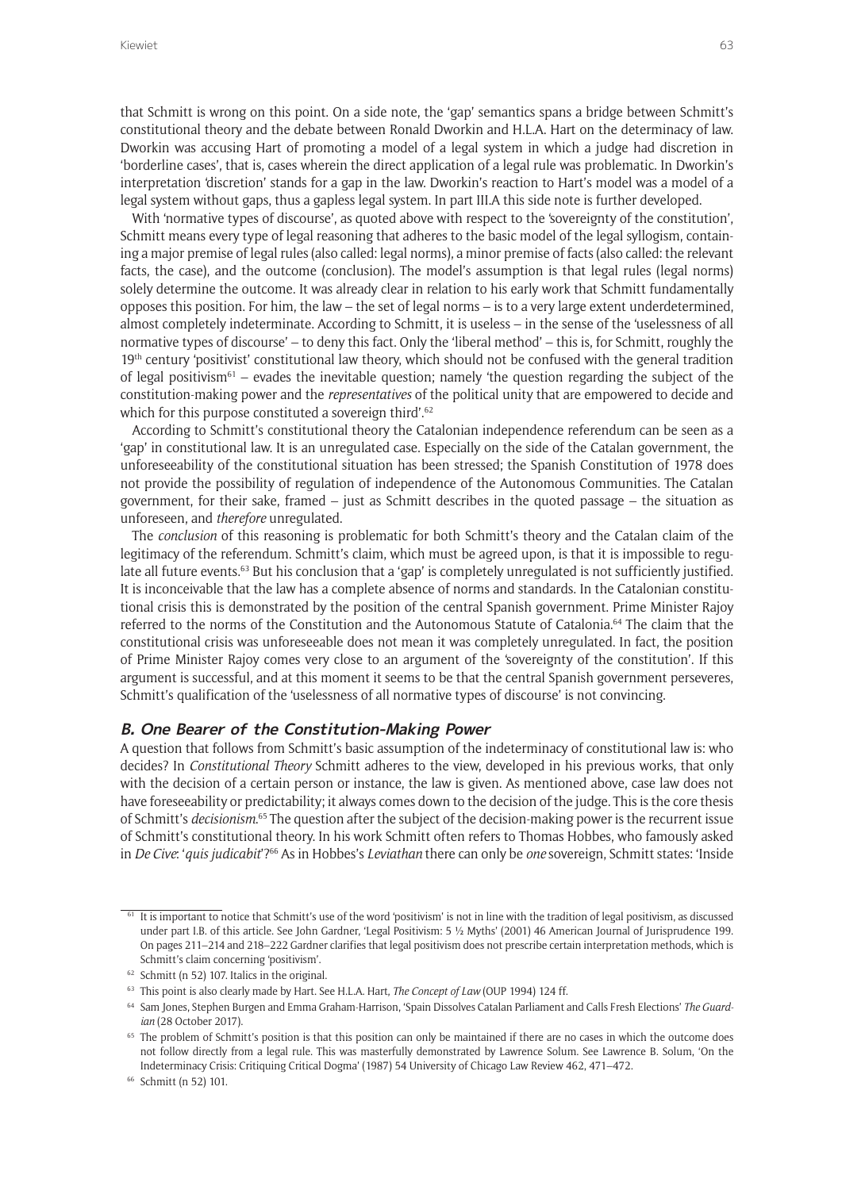that Schmitt is wrong on this point. On a side note, the 'gap' semantics spans a bridge between Schmitt's constitutional theory and the debate between Ronald Dworkin and H.L.A. Hart on the determinacy of law. Dworkin was accusing Hart of promoting a model of a legal system in which a judge had discretion in 'borderline cases', that is, cases wherein the direct application of a legal rule was problematic. In Dworkin's interpretation 'discretion' stands for a gap in the law. Dworkin's reaction to Hart's model was a model of a legal system without gaps, thus a gapless legal system. In part III.A this side note is further developed.

With 'normative types of discourse', as quoted above with respect to the 'sovereignty of the constitution', Schmitt means every type of legal reasoning that adheres to the basic model of the legal syllogism, containing a major premise of legal rules (also called: legal norms), a minor premise of facts (also called: the relevant facts, the case), and the outcome (conclusion). The model's assumption is that legal rules (legal norms) solely determine the outcome. It was already clear in relation to his early work that Schmitt fundamentally opposes this position. For him, the law – the set of legal norms – is to a very large extent underdetermined, almost completely indeterminate. According to Schmitt, it is useless – in the sense of the 'uselessness of all normative types of discourse' – to deny this fact. Only the 'liberal method' – this is, for Schmitt, roughly the 19<sup>th</sup> century 'positivist' constitutional law theory, which should not be confused with the general tradition of legal positivism<sup>61</sup> – evades the inevitable question; namely 'the question regarding the subject of the constitution-making power and the *representatives* of the political unity that are empowered to decide and which for this purpose constituted a sovereign third'.<sup>62</sup>

According to Schmitt's constitutional theory the Catalonian independence referendum can be seen as a 'gap' in constitutional law. It is an unregulated case. Especially on the side of the Catalan government, the unforeseeability of the constitutional situation has been stressed; the Spanish Constitution of 1978 does not provide the possibility of regulation of independence of the Autonomous Communities. The Catalan government, for their sake, framed – just as Schmitt describes in the quoted passage – the situation as unforeseen, and *therefore* unregulated.

The *conclusion* of this reasoning is problematic for both Schmitt's theory and the Catalan claim of the legitimacy of the referendum. Schmitt's claim, which must be agreed upon, is that it is impossible to regulate all future events.<sup>63</sup> But his conclusion that a 'gap' is completely unregulated is not sufficiently justified. It is inconceivable that the law has a complete absence of norms and standards. In the Catalonian constitutional crisis this is demonstrated by the position of the central Spanish government. Prime Minister Rajoy referred to the norms of the Constitution and the Autonomous Statute of Catalonia.64 The claim that the constitutional crisis was unforeseeable does not mean it was completely unregulated. In fact, the position of Prime Minister Rajoy comes very close to an argument of the 'sovereignty of the constitution'. If this argument is successful, and at this moment it seems to be that the central Spanish government perseveres, Schmitt's qualification of the 'uselessness of all normative types of discourse' is not convincing.

### **B. One Bearer of the Constitution-Making Power**

A question that follows from Schmitt's basic assumption of the indeterminacy of constitutional law is: who decides? In *Constitutional Theory* Schmitt adheres to the view, developed in his previous works, that only with the decision of a certain person or instance, the law is given. As mentioned above, case law does not have foreseeability or predictability; it always comes down to the decision of the judge. This is the core thesis of Schmitt's *decisionism*. 65 The question after the subject of the decision-making power is the recurrent issue of Schmitt's constitutional theory. In his work Schmitt often refers to Thomas Hobbes, who famously asked in *De Cive*: '*quis judicabit*'?66 As in Hobbes's *Leviathan* there can only be *one* sovereign, Schmitt states: 'Inside

 $61$  It is important to notice that Schmitt's use of the word 'positivism' is not in line with the tradition of legal positivism, as discussed under part I.B. of this article. See John Gardner, 'Legal Positivism: 5 ½ Myths' (2001) 46 American Journal of Jurisprudence 199. On pages 211–214 and 218–222 Gardner clarifies that legal positivism does not prescribe certain interpretation methods, which is Schmitt's claim concerning 'positivism'.

<sup>62</sup> Schmitt (n 52) 107. Italics in the original.

<sup>63</sup> This point is also clearly made by Hart. See H.L.A. Hart, *The Concept of Law* (OUP 1994) 124 ff.

<sup>64</sup> Sam Jones, Stephen Burgen and Emma Graham-Harrison, 'Spain Dissolves Catalan Parliament and Calls Fresh Elections' *The Guardian* (28 October 2017).

<sup>&</sup>lt;sup>65</sup> The problem of Schmitt's position is that this position can only be maintained if there are no cases in which the outcome does not follow directly from a legal rule. This was masterfully demonstrated by Lawrence Solum. See Lawrence B. Solum, 'On the Indeterminacy Crisis: Critiquing Critical Dogma' (1987) 54 University of Chicago Law Review 462, 471–472.

<sup>66</sup> Schmitt (n 52) 101.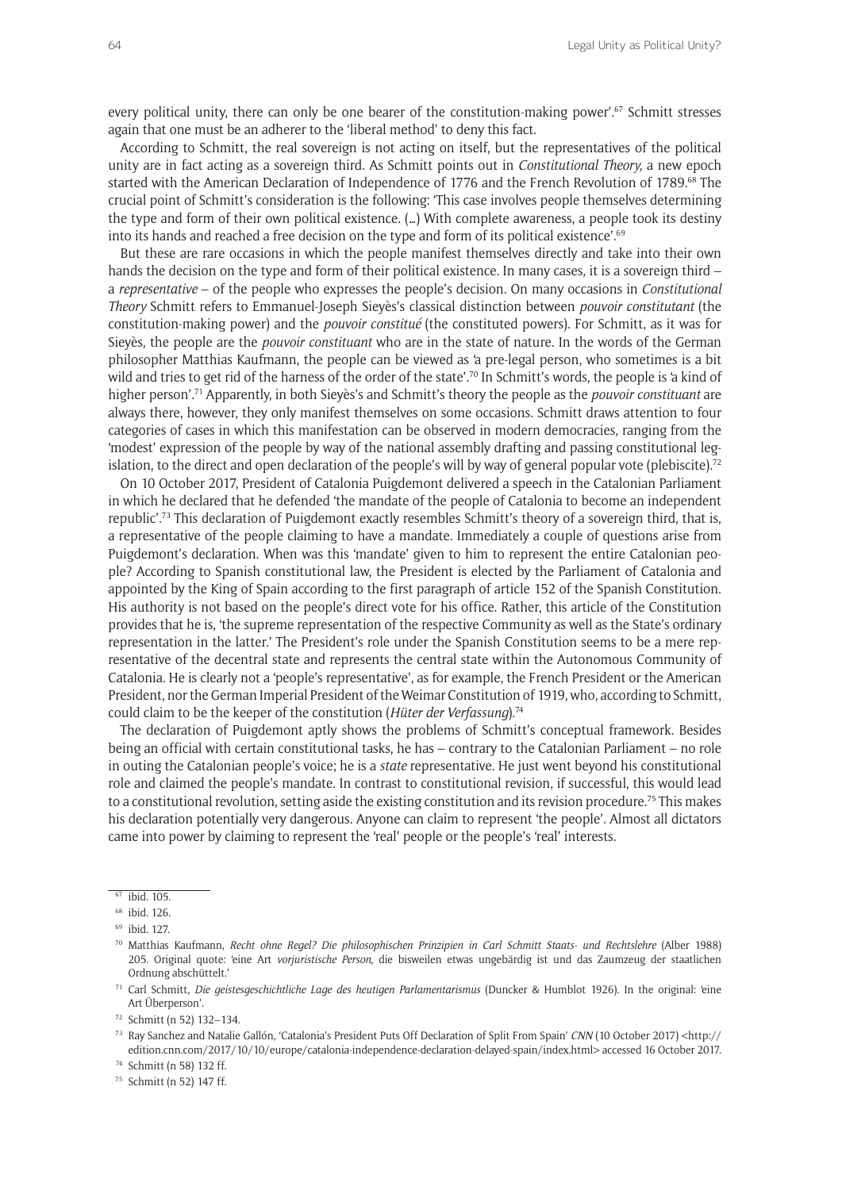every political unity, there can only be one bearer of the constitution-making power'.<sup>67</sup> Schmitt stresses again that one must be an adherer to the 'liberal method' to deny this fact.

According to Schmitt, the real sovereign is not acting on itself, but the representatives of the political unity are in fact acting as a sovereign third. As Schmitt points out in *Constitutional Theory,* a new epoch started with the American Declaration of Independence of 1776 and the French Revolution of 1789.68 The crucial point of Schmitt's consideration is the following: 'This case involves people themselves determining the type and form of their own political existence. (…) With complete awareness, a people took its destiny into its hands and reached a free decision on the type and form of its political existence'.<sup>69</sup>

But these are rare occasions in which the people manifest themselves directly and take into their own hands the decision on the type and form of their political existence. In many cases, it is a sovereign third – a *representative* – of the people who expresses the people's decision. On many occasions in *Constitutional Theory* Schmitt refers to Emmanuel-Joseph Sieyès's classical distinction between *pouvoir constitutant* (the constitution-making power) and the *pouvoir constitué* (the constituted powers). For Schmitt, as it was for Sieyès, the people are the *pouvoir constituant* who are in the state of nature. In the words of the German philosopher Matthias Kaufmann, the people can be viewed as 'a pre-legal person, who sometimes is a bit wild and tries to get rid of the harness of the order of the state'.<sup>70</sup> In Schmitt's words, the people is 'a kind of higher person'.71 Apparently, in both Sieyès's and Schmitt's theory the people as the *pouvoir constituant* are always there, however, they only manifest themselves on some occasions. Schmitt draws attention to four categories of cases in which this manifestation can be observed in modern democracies, ranging from the 'modest' expression of the people by way of the national assembly drafting and passing constitutional legislation, to the direct and open declaration of the people's will by way of general popular vote (plebiscite).<sup>72</sup>

On 10 October 2017, President of Catalonia Puigdemont delivered a speech in the Catalonian Parliament in which he declared that he defended 'the mandate of the people of Catalonia to become an independent republic'.73 This declaration of Puigdemont exactly resembles Schmitt's theory of a sovereign third, that is, a representative of the people claiming to have a mandate. Immediately a couple of questions arise from Puigdemont's declaration. When was this 'mandate' given to him to represent the entire Catalonian people? According to Spanish constitutional law, the President is elected by the Parliament of Catalonia and appointed by the King of Spain according to the first paragraph of article 152 of the Spanish Constitution. His authority is not based on the people's direct vote for his office. Rather, this article of the Constitution provides that he is, 'the supreme representation of the respective Community as well as the State's ordinary representation in the latter.' The President's role under the Spanish Constitution seems to be a mere representative of the decentral state and represents the central state within the Autonomous Community of Catalonia. He is clearly not a 'people's representative', as for example, the French President or the American President, nor the German Imperial President of the Weimar Constitution of 1919, who, according to Schmitt, could claim to be the keeper of the constitution (*Hüter der Verfassung*).74

The declaration of Puigdemont aptly shows the problems of Schmitt's conceptual framework. Besides being an official with certain constitutional tasks, he has – contrary to the Catalonian Parliament – no role in outing the Catalonian people's voice; he is a *state* representative. He just went beyond his constitutional role and claimed the people's mandate. In contrast to constitutional revision, if successful, this would lead to a constitutional revolution, setting aside the existing constitution and its revision procedure.75 This makes his declaration potentially very dangerous. Anyone can claim to represent 'the people'. Almost all dictators came into power by claiming to represent the 'real' people or the people's 'real' interests.

<sup>71</sup> Carl Schmitt, *Die geistesgeschichtliche Lage des heutigen Parlamentarismus* (Duncker & Humblot 1926). In the original: 'eine Art Überperson'.

<sup>74</sup> Schmitt (n 58) 132 ff.

<sup>67</sup> ibid. 105.

<sup>68</sup> ibid. 126.

<sup>69</sup> ibid. 127.

<sup>70</sup> Matthias Kaufmann, *Recht ohne Regel? Die philosophischen Prinzipien in Carl Schmitt Staats- und Rechtslehre* (Alber 1988) 205. Original quote: 'eine Art *vorjuristische Person*, die bisweilen etwas ungebärdig ist und das Zaumzeug der staatlichen Ordnung abschüttelt.'

<sup>72</sup> Schmitt (n 52) 132–134.

<sup>73</sup> Ray Sanchez and Natalie Gallón, 'Catalonia's President Puts Off Declaration of Split From Spain' *CNN* (10 October 2017) <[http://](http://edition.cnn.com/2017/10/10/europe/catalonia-independence-declaration-delayed-spain/index.html) [edition.cnn.com/2017/10/10/europe/catalonia-independence-declaration-delayed-spain/index.html](http://edition.cnn.com/2017/10/10/europe/catalonia-independence-declaration-delayed-spain/index.html)> accessed 16 October 2017.

<sup>75</sup> Schmitt (n 52) 147 ff.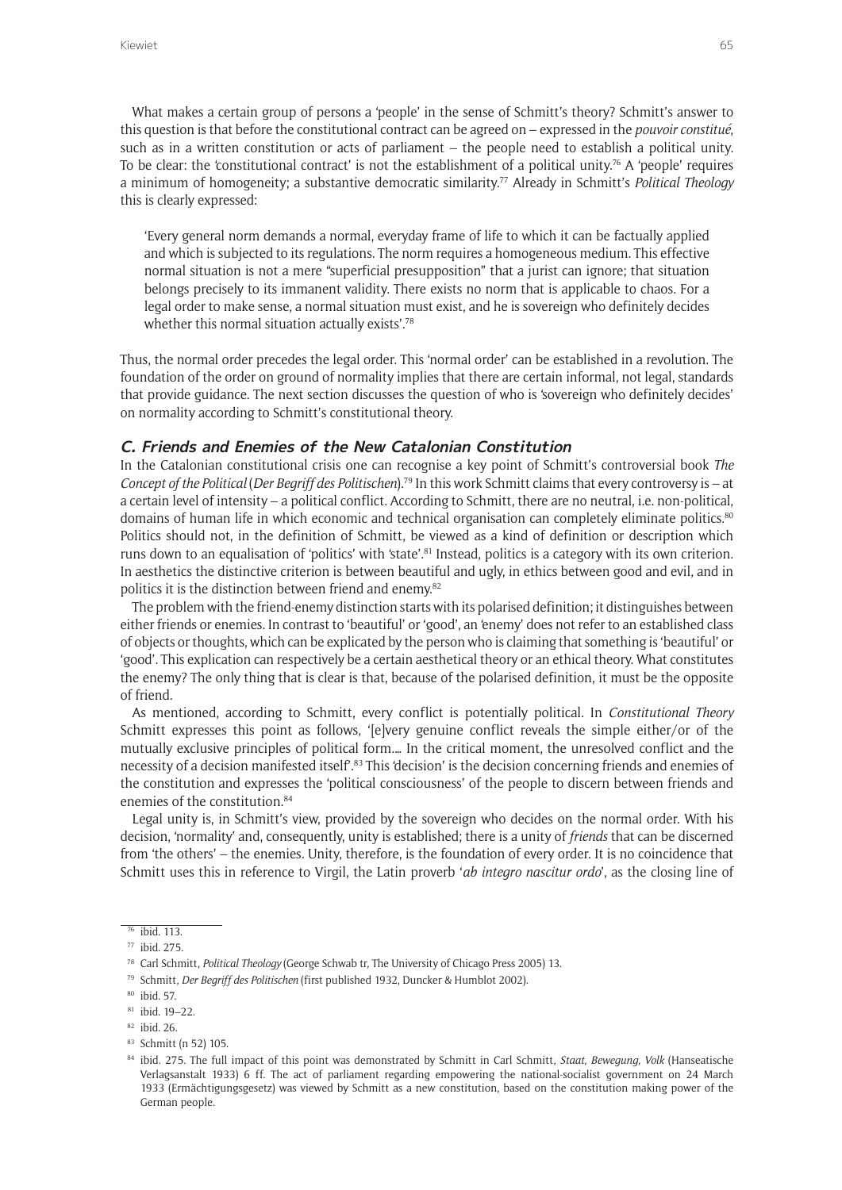What makes a certain group of persons a 'people' in the sense of Schmitt's theory? Schmitt's answer to this question is that before the constitutional contract can be agreed on – expressed in the *pouvoir constitué*, such as in a written constitution or acts of parliament – the people need to establish a political unity. To be clear: the 'constitutional contract' is not the establishment of a political unity.76 A 'people' requires a minimum of homogeneity; a substantive democratic similarity.77 Already in Schmitt's *Political Theology*  this is clearly expressed:

'Every general norm demands a normal, everyday frame of life to which it can be factually applied and which is subjected to its regulations. The norm requires a homogeneous medium. This effective normal situation is not a mere "superficial presupposition" that a jurist can ignore; that situation belongs precisely to its immanent validity. There exists no norm that is applicable to chaos. For a legal order to make sense, a normal situation must exist, and he is sovereign who definitely decides whether this normal situation actually exists'.<sup>78</sup>

Thus, the normal order precedes the legal order. This 'normal order' can be established in a revolution. The foundation of the order on ground of normality implies that there are certain informal, not legal, standards that provide guidance. The next section discusses the question of who is 'sovereign who definitely decides' on normality according to Schmitt's constitutional theory.

### **C. Friends and Enemies of the New Catalonian Constitution**

In the Catalonian constitutional crisis one can recognise a key point of Schmitt's controversial book *The Concept of the Political* (*Der Begriff des Politischen*).79 In this work Schmitt claims that every controversy is – at a certain level of intensity – a political conflict. According to Schmitt, there are no neutral, i.e. non-political, domains of human life in which economic and technical organisation can completely eliminate politics.<sup>80</sup> Politics should not, in the definition of Schmitt, be viewed as a kind of definition or description which runs down to an equalisation of 'politics' with 'state'.<sup>81</sup> Instead, politics is a category with its own criterion. In aesthetics the distinctive criterion is between beautiful and ugly, in ethics between good and evil, and in politics it is the distinction between friend and enemy.82

The problem with the friend-enemy distinction starts with its polarised definition; it distinguishes between either friends or enemies. In contrast to 'beautiful' or 'good', an 'enemy' does not refer to an established class of objects or thoughts, which can be explicated by the person who is claiming that something is 'beautiful' or 'good'. This explication can respectively be a certain aesthetical theory or an ethical theory. What constitutes the enemy? The only thing that is clear is that, because of the polarised definition, it must be the opposite of friend.

As mentioned, according to Schmitt, every conflict is potentially political. In *Constitutional Theory*  Schmitt expresses this point as follows, '[e]very genuine conflict reveals the simple either/or of the mutually exclusive principles of political form.… In the critical moment, the unresolved conflict and the necessity of a decision manifested itself<sup>''</sup>.<sup>83</sup> This 'decision' is the decision concerning friends and enemies of the constitution and expresses the 'political consciousness' of the people to discern between friends and enemies of the constitution.<sup>84</sup>

Legal unity is, in Schmitt's view, provided by the sovereign who decides on the normal order. With his decision, 'normality' and, consequently, unity is established; there is a unity of *friends* that can be discerned from 'the others' – the enemies. Unity, therefore, is the foundation of every order. It is no coincidence that Schmitt uses this in reference to Virgil, the Latin proverb '*ab integro nascitur ordo*', as the closing line of

<sup>76</sup> ibid. 113.

<sup>77</sup> ibid. 275.

<sup>78</sup> Carl Schmitt, *Political Theology* (George Schwab tr, The University of Chicago Press 2005) 13.

<sup>79</sup> Schmitt, *Der Begriff des Politischen* (first published 1932, Duncker & Humblot 2002).

<sup>80</sup> ibid. 57.

<sup>81</sup> ibid. 19–22.

<sup>82</sup> ibid. 26.

<sup>83</sup> Schmitt (n 52) 105.

<sup>84</sup> ibid. 275. The full impact of this point was demonstrated by Schmitt in Carl Schmitt, *Staat, Bewegung, Volk* (Hanseatische Verlagsanstalt 1933) 6 ff. The act of parliament regarding empowering the national-socialist government on 24 March 1933 (Ermächtigungsgesetz) was viewed by Schmitt as a new constitution, based on the constitution making power of the German people.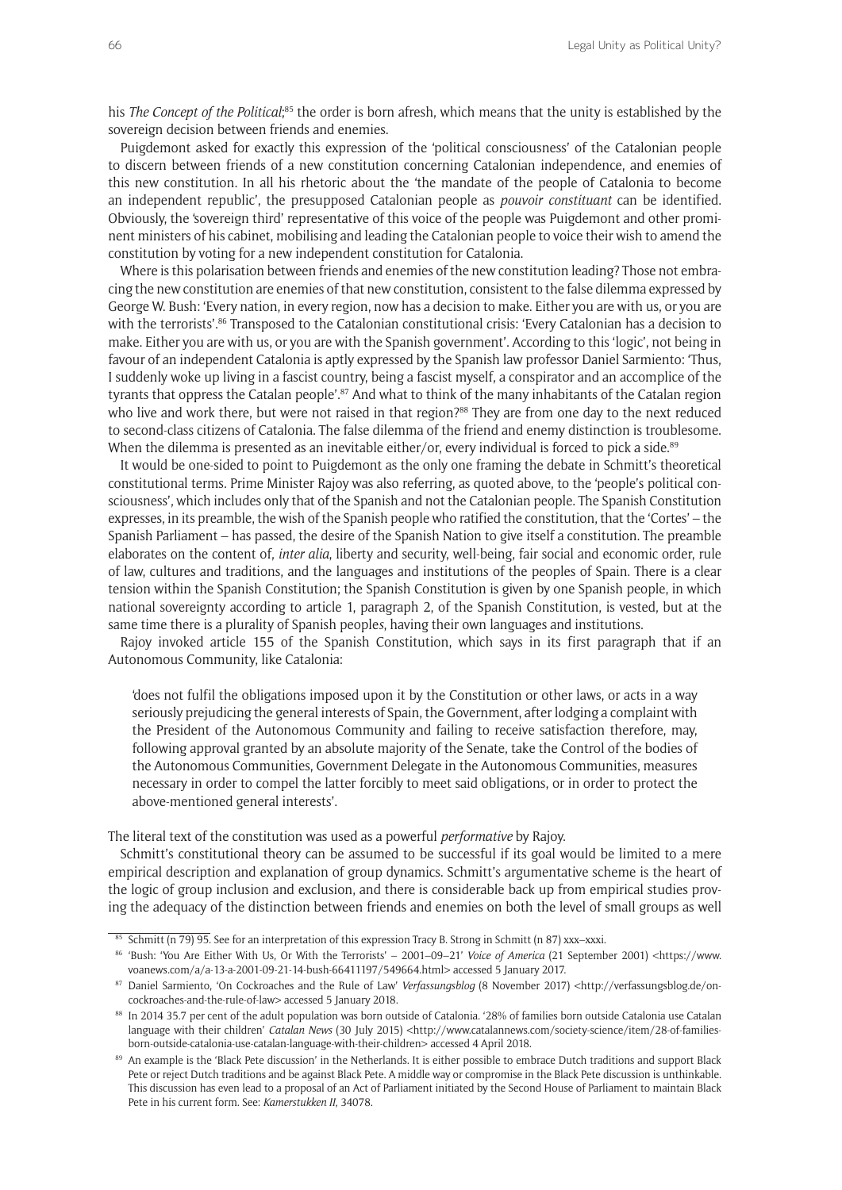his *The Concept of the Political*;<sup>85</sup> the order is born afresh, which means that the unity is established by the sovereign decision between friends and enemies.

Puigdemont asked for exactly this expression of the 'political consciousness' of the Catalonian people to discern between friends of a new constitution concerning Catalonian independence, and enemies of this new constitution. In all his rhetoric about the 'the mandate of the people of Catalonia to become an independent republic', the presupposed Catalonian people as *pouvoir constituant* can be identified. Obviously, the 'sovereign third' representative of this voice of the people was Puigdemont and other prominent ministers of his cabinet, mobilising and leading the Catalonian people to voice their wish to amend the constitution by voting for a new independent constitution for Catalonia.

Where is this polarisation between friends and enemies of the new constitution leading? Those not embracing the new constitution are enemies of that new constitution, consistent to the false dilemma expressed by George W. Bush: 'Every nation, in every region, now has a decision to make. Either you are with us, or you are with the terrorists'.<sup>86</sup> Transposed to the Catalonian constitutional crisis: 'Every Catalonian has a decision to make. Either you are with us, or you are with the Spanish government'. According to this 'logic', not being in favour of an independent Catalonia is aptly expressed by the Spanish law professor Daniel Sarmiento: 'Thus, I suddenly woke up living in a fascist country, being a fascist myself, a conspirator and an accomplice of the tyrants that oppress the Catalan people'.<sup>87</sup> And what to think of the many inhabitants of the Catalan region who live and work there, but were not raised in that region?<sup>88</sup> They are from one day to the next reduced to second-class citizens of Catalonia. The false dilemma of the friend and enemy distinction is troublesome. When the dilemma is presented as an inevitable either/or, every individual is forced to pick a side.<sup>89</sup>

It would be one-sided to point to Puigdemont as the only one framing the debate in Schmitt's theoretical constitutional terms. Prime Minister Rajoy was also referring, as quoted above, to the 'people's political consciousness', which includes only that of the Spanish and not the Catalonian people. The Spanish Constitution expresses, in its preamble, the wish of the Spanish people who ratified the constitution, that the 'Cortes' – the Spanish Parliament – has passed, the desire of the Spanish Nation to give itself a constitution. The preamble elaborates on the content of, *inter alia*, liberty and security, well-being, fair social and economic order, rule of law, cultures and traditions, and the languages and institutions of the peoples of Spain. There is a clear tension within the Spanish Constitution; the Spanish Constitution is given by one Spanish people, in which national sovereignty according to article 1, paragraph 2, of the Spanish Constitution, is vested, but at the same time there is a plurality of Spanish people*s*, having their own languages and institutions.

Rajoy invoked article 155 of the Spanish Constitution, which says in its first paragraph that if an Autonomous Community, like Catalonia:

'does not fulfil the obligations imposed upon it by the Constitution or other laws, or acts in a way seriously prejudicing the general interests of Spain, the Government, after lodging a complaint with the President of the Autonomous Community and failing to receive satisfaction therefore, may, following approval granted by an absolute majority of the Senate, take the Control of the bodies of the Autonomous Communities, Government Delegate in the Autonomous Communities, measures necessary in order to compel the latter forcibly to meet said obligations, or in order to protect the above-mentioned general interests'.

The literal text of the constitution was used as a powerful *performative* by Rajoy.

Schmitt's constitutional theory can be assumed to be successful if its goal would be limited to a mere empirical description and explanation of group dynamics. Schmitt's argumentative scheme is the heart of the logic of group inclusion and exclusion, and there is considerable back up from empirical studies proving the adequacy of the distinction between friends and enemies on both the level of small groups as well

<sup>85</sup> Schmitt (n 79) 95. See for an interpretation of this expression Tracy B. Strong in Schmitt (n 87) xxx–xxxi.

<sup>86</sup> 'Bush: 'You Are Either With Us, Or With the Terrorists' – 2001–09–21' *Voice of America* (21 September 2001) [<https://www.](https://www.voanews.com/a/a-13-a-2001-09-21-14-bush-66411197/549664.html) [voanews.com/a/a-13-a-2001-09-21-14-bush-66411197/549664.html>](https://www.voanews.com/a/a-13-a-2001-09-21-14-bush-66411197/549664.html) accessed 5 January 2017.

<sup>87</sup> Daniel Sarmiento, 'On Cockroaches and the Rule of Law' *Verfassungsblog* (8 November 2017) <[http://verfassungsblog.de/on](http://verfassungsblog.de/on-cockroaches-and-the-rule-of-law)[cockroaches-and-the-rule-of-law](http://verfassungsblog.de/on-cockroaches-and-the-rule-of-law)> accessed 5 January 2018.

<sup>88</sup> In 2014 35.7 per cent of the adult population was born outside of Catalonia. '28% of families born outside Catalonia use Catalan language with their children' *Catalan News* (30 July 2015) [<http://www.catalannews.com/society-science/item/28-of-families](http://www.catalannews.com/society-science/item/28-of-families-born-outside-catalonia-use-catalan-language-with-their-children)[born-outside-catalonia-use-catalan-language-with-their-children>](http://www.catalannews.com/society-science/item/28-of-families-born-outside-catalonia-use-catalan-language-with-their-children) accessed 4 April 2018.

<sup>89</sup> An example is the 'Black Pete discussion' in the Netherlands. It is either possible to embrace Dutch traditions and support Black Pete or reject Dutch traditions and be against Black Pete. A middle way or compromise in the Black Pete discussion is unthinkable. This discussion has even lead to a proposal of an Act of Parliament initiated by the Second House of Parliament to maintain Black Pete in his current form. See: *Kamerstukken II*, 34078.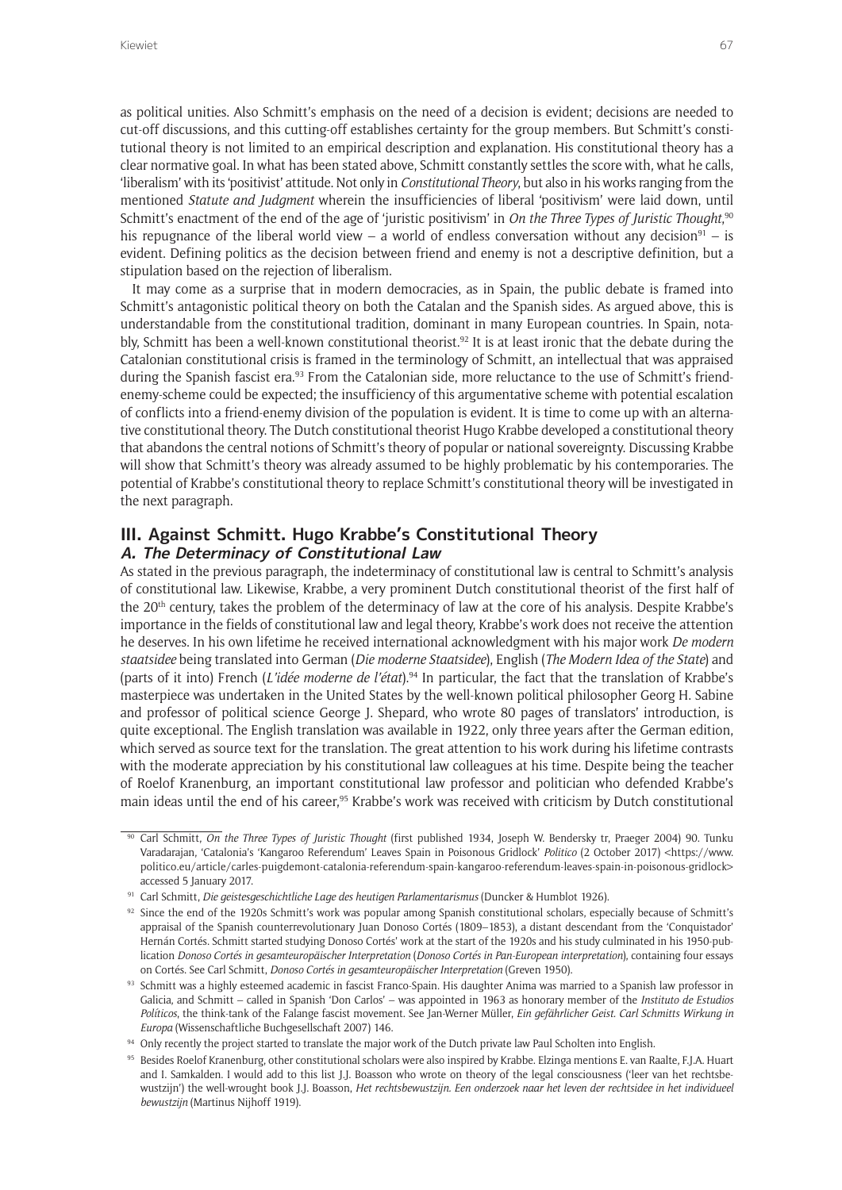as political unities. Also Schmitt's emphasis on the need of a decision is evident; decisions are needed to cut-off discussions, and this cutting-off establishes certainty for the group members. But Schmitt's constitutional theory is not limited to an empirical description and explanation. His constitutional theory has a clear normative goal. In what has been stated above, Schmitt constantly settles the score with, what he calls, 'liberalism' with its 'positivist' attitude. Not only in *Constitutional Theory*, but also in his works ranging from the mentioned *Statute and Judgment* wherein the insufficiencies of liberal 'positivism' were laid down, until Schmitt's enactment of the end of the age of 'juristic positivism' in *On the Three Types of Juristic Thought*, 90 his repugnance of the liberal world view – a world of endless conversation without any decision<sup>91</sup> – is evident. Defining politics as the decision between friend and enemy is not a descriptive definition, but a stipulation based on the rejection of liberalism.

It may come as a surprise that in modern democracies, as in Spain, the public debate is framed into Schmitt's antagonistic political theory on both the Catalan and the Spanish sides. As argued above, this is understandable from the constitutional tradition, dominant in many European countries. In Spain, notably, Schmitt has been a well-known constitutional theorist.<sup>92</sup> It is at least ironic that the debate during the Catalonian constitutional crisis is framed in the terminology of Schmitt, an intellectual that was appraised during the Spanish fascist era.<sup>93</sup> From the Catalonian side, more reluctance to the use of Schmitt's friendenemy-scheme could be expected; the insufficiency of this argumentative scheme with potential escalation of conflicts into a friend-enemy division of the population is evident. It is time to come up with an alternative constitutional theory. The Dutch constitutional theorist Hugo Krabbe developed a constitutional theory that abandons the central notions of Schmitt's theory of popular or national sovereignty. Discussing Krabbe will show that Schmitt's theory was already assumed to be highly problematic by his contemporaries. The potential of Krabbe's constitutional theory to replace Schmitt's constitutional theory will be investigated in the next paragraph.

### **III. Against Schmitt. Hugo Krabbe's Constitutional Theory A. The Determinacy of Constitutional Law**

As stated in the previous paragraph, the indeterminacy of constitutional law is central to Schmitt's analysis of constitutional law. Likewise, Krabbe, a very prominent Dutch constitutional theorist of the first half of the 20th century, takes the problem of the determinacy of law at the core of his analysis. Despite Krabbe's importance in the fields of constitutional law and legal theory, Krabbe's work does not receive the attention he deserves. In his own lifetime he received international acknowledgment with his major work *De modern staatsidee* being translated into German (*Die moderne Staatsidee*), English (*The Modern Idea of the State*) and (parts of it into) French (*L'idée moderne de l'état*).94 In particular, the fact that the translation of Krabbe's masterpiece was undertaken in the United States by the well-known political philosopher Georg H. Sabine and professor of political science George J. Shepard, who wrote 80 pages of translators' introduction, is quite exceptional. The English translation was available in 1922, only three years after the German edition, which served as source text for the translation. The great attention to his work during his lifetime contrasts with the moderate appreciation by his constitutional law colleagues at his time. Despite being the teacher of Roelof Kranenburg, an important constitutional law professor and politician who defended Krabbe's main ideas until the end of his career,<sup>95</sup> Krabbe's work was received with criticism by Dutch constitutional

<sup>&</sup>lt;sup>90</sup> Carl Schmitt, *On the Three Types of Juristic Thought* (first published 1934, Joseph W. Bendersky tr, Praeger 2004) 90. Tunku Varadarajan, 'Catalonia's 'Kangaroo Referendum' Leaves Spain in Poisonous Gridlock' *Politico* (2 October 2017) <[https://www.](https://www.politico.eu/article/carles-puigdemont-catalonia-referendum-spain-kangaroo-referendum-leaves-spain-in-poisonous-gridlock) [politico.eu/article/carles-puigdemont-catalonia-referendum-spain-kangaroo-referendum-leaves-spain-in-poisonous-gridlock>](https://www.politico.eu/article/carles-puigdemont-catalonia-referendum-spain-kangaroo-referendum-leaves-spain-in-poisonous-gridlock) accessed 5 January 2017.

<sup>91</sup> Carl Schmitt, *Die geistesgeschichtliche Lage des heutigen Parlamentarismus* (Duncker & Humblot 1926).

 $92$  Since the end of the 1920s Schmitt's work was popular among Spanish constitutional scholars, especially because of Schmitt's appraisal of the Spanish counterrevolutionary Juan Donoso Cortés (1809–1853), a distant descendant from the 'Conquistador' Hernán Cortés. Schmitt started studying Donoso Cortés' work at the start of the 1920s and his study culminated in his 1950-publication *Donoso Cortés in gesamteuropäischer Interpretation* (*Donoso Cortés in Pan-European interpretation*), containing four essays on Cortés. See Carl Schmitt, *Donoso Cortés in gesamteuropäischer Interpretation* (Greven 1950).

<sup>93</sup> Schmitt was a highly esteemed academic in fascist Franco-Spain. His daughter Anima was married to a Spanish law professor in Galicia, and Schmitt – called in Spanish 'Don Carlos' – was appointed in 1963 as honorary member of the *Instituto de Estudios Políticos*, the think-tank of the Falange fascist movement. See Jan-Werner Müller, *Ein gefährlicher Geist. Carl Schmitts Wirkung in Europa* (Wissenschaftliche Buchgesellschaft 2007) 146.

<sup>94</sup> Only recently the project started to translate the major work of the Dutch private law Paul Scholten into English.

<sup>95</sup> Besides Roelof Kranenburg, other constitutional scholars were also inspired by Krabbe. Elzinga mentions E. van Raalte, F.J.A. Huart and I. Samkalden. I would add to this list J.J. Boasson who wrote on theory of the legal consciousness ('leer van het rechtsbewustzijn') the well-wrought book J.J. Boasson, *Het rechtsbewustzijn. Een onderzoek naar het leven der rechtsidee in het individueel bewustzijn* (Martinus Nijhoff 1919).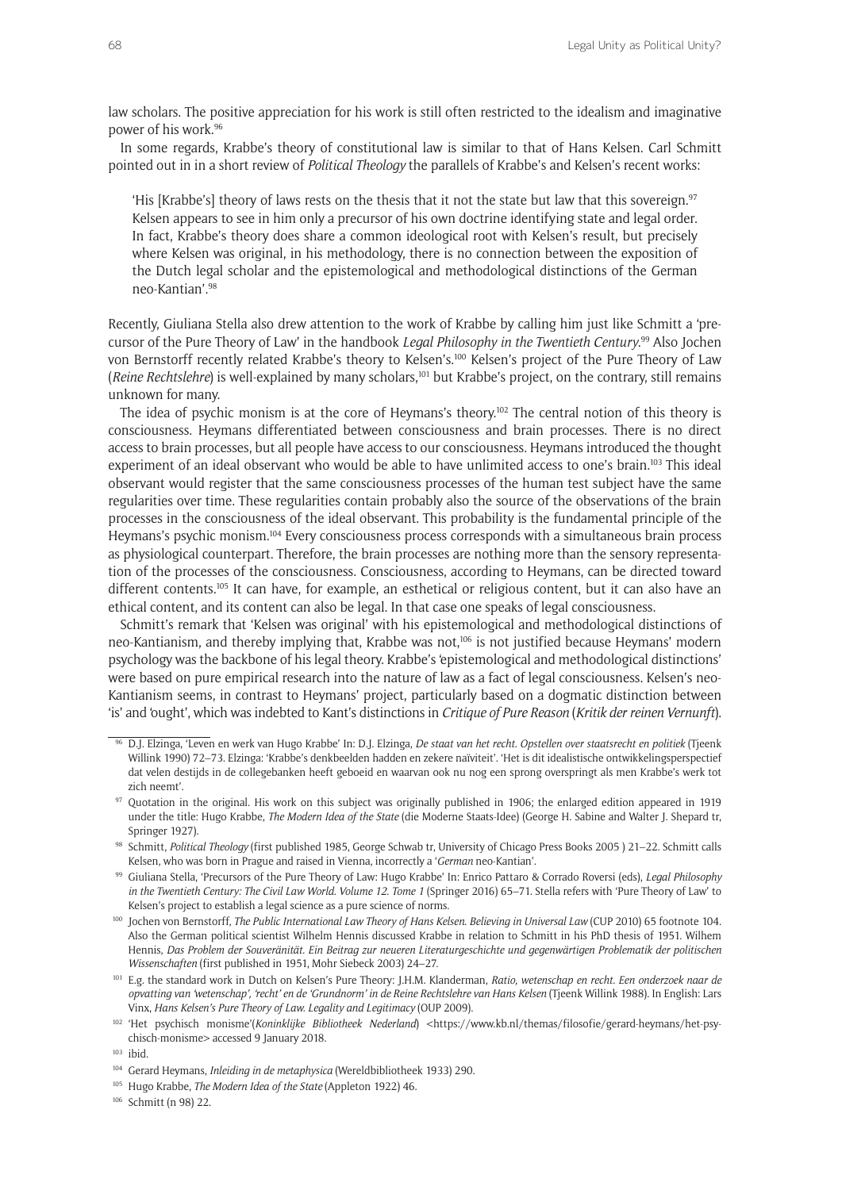law scholars. The positive appreciation for his work is still often restricted to the idealism and imaginative power of his work.96

In some regards, Krabbe's theory of constitutional law is similar to that of Hans Kelsen. Carl Schmitt pointed out in in a short review of *Political Theology* the parallels of Krabbe's and Kelsen's recent works:

'His [Krabbe's] theory of laws rests on the thesis that it not the state but law that this sovereign.97 Kelsen appears to see in him only a precursor of his own doctrine identifying state and legal order. In fact, Krabbe's theory does share a common ideological root with Kelsen's result, but precisely where Kelsen was original, in his methodology, there is no connection between the exposition of the Dutch legal scholar and the epistemological and methodological distinctions of the German neo-Kantian'.98

Recently, Giuliana Stella also drew attention to the work of Krabbe by calling him just like Schmitt a 'precursor of the Pure Theory of Law' in the handbook *Legal Philosophy in the Twentieth Century*. 99 Also Jochen von Bernstorff recently related Krabbe's theory to Kelsen's.100 Kelsen's project of the Pure Theory of Law (*Reine Rechtslehre*) is well-explained by many scholars,<sup>101</sup> but Krabbe's project, on the contrary, still remains unknown for many.

The idea of psychic monism is at the core of Heymans's theory.<sup>102</sup> The central notion of this theory is consciousness. Heymans differentiated between consciousness and brain processes. There is no direct access to brain processes, but all people have access to our consciousness. Heymans introduced the thought experiment of an ideal observant who would be able to have unlimited access to one's brain.<sup>103</sup> This ideal observant would register that the same consciousness processes of the human test subject have the same regularities over time. These regularities contain probably also the source of the observations of the brain processes in the consciousness of the ideal observant. This probability is the fundamental principle of the Heymans's psychic monism.104 Every consciousness process corresponds with a simultaneous brain process as physiological counterpart. Therefore, the brain processes are nothing more than the sensory representation of the processes of the consciousness. Consciousness, according to Heymans, can be directed toward different contents.105 It can have, for example, an esthetical or religious content, but it can also have an ethical content, and its content can also be legal. In that case one speaks of legal consciousness.

Schmitt's remark that 'Kelsen was original' with his epistemological and methodological distinctions of neo-Kantianism, and thereby implying that, Krabbe was not,106 is not justified because Heymans' modern psychology was the backbone of his legal theory. Krabbe's 'epistemological and methodological distinctions' were based on pure empirical research into the nature of law as a fact of legal consciousness. Kelsen's neo-Kantianism seems, in contrast to Heymans' project, particularly based on a dogmatic distinction between 'is' and 'ought', which was indebted to Kant's distinctions in *Critique of Pure Reason* (*Kritik der reinen Vernunft*).

<sup>96</sup> D.J. Elzinga, 'Leven en werk van Hugo Krabbe' In: D.J. Elzinga, *De staat van het recht. Opstellen over staatsrecht en politiek* (Tjeenk Willink 1990) 72–73. Elzinga: 'Krabbe's denkbeelden hadden en zekere naïviteit'. 'Het is dit idealistische ontwikkelingsperspectief dat velen destijds in de collegebanken heeft geboeid en waarvan ook nu nog een sprong overspringt als men Krabbe's werk tot zich neemt'.

<sup>97</sup> Quotation in the original. His work on this subject was originally published in 1906; the enlarged edition appeared in 1919 under the title: Hugo Krabbe, *The Modern Idea of the State* (die Moderne Staats-Idee) (George H. Sabine and Walter J. Shepard tr, Springer 1927).

<sup>98</sup> Schmitt, *Political Theology* (first published 1985, George Schwab tr, University of Chicago Press Books 2005 ) 21–22. Schmitt calls Kelsen, who was born in Prague and raised in Vienna, incorrectly a '*German* neo-Kantian'.

<sup>99</sup> Giuliana Stella, 'Precursors of the Pure Theory of Law: Hugo Krabbe' In: Enrico Pattaro & Corrado Roversi (eds), *Legal Philosophy in the Twentieth Century: The Civil Law World. Volume 12. Tome 1* (Springer 2016) 65–71. Stella refers with 'Pure Theory of Law' to Kelsen's project to establish a legal science as a pure science of norms.

<sup>&</sup>lt;sup>100</sup> Jochen von Bernstorff, *The Public International Law Theory of Hans Kelsen. Believing in Universal Law (CUP 2010) 65 footnote 104.* Also the German political scientist Wilhelm Hennis discussed Krabbe in relation to Schmitt in his PhD thesis of 1951. Wilhem Hennis, *Das Problem der Souveränität. Ein Beitrag zur neueren Literaturgeschichte und gegenwärtigen Problematik der politischen Wissenschaften* (first published in 1951, Mohr Siebeck 2003) 24–27.

<sup>101</sup> E.g. the standard work in Dutch on Kelsen's Pure Theory: J.H.M. Klanderman, *Ratio, wetenschap en recht. Een onderzoek naar de opvatting van 'wetenschap', 'recht' en de 'Grundnorm' in de Reine Rechtslehre van Hans Kelsen* (Tjeenk Willink 1988). In English: Lars Vinx, *Hans Kelsen's Pure Theory of Law. Legality and Legitimacy* (OUP 2009).

<sup>102</sup> 'Het psychisch monisme'(*Koninklijke Bibliotheek Nederland*) [<https://www.kb.nl/themas/filosofie/gerard-heymans/het-psy](https://www.kb.nl/themas/filosofie/gerard-heymans/het-psychisch-monisme)[chisch-monisme>](https://www.kb.nl/themas/filosofie/gerard-heymans/het-psychisch-monisme) accessed 9 January 2018.

<sup>&</sup>lt;sup>103</sup> ibid.

<sup>104</sup> Gerard Heymans, *Inleiding in de metaphysica* (Wereldbibliotheek 1933) 290.

<sup>105</sup> Hugo Krabbe, *The Modern Idea of the State* (Appleton 1922) 46.

<sup>106</sup> Schmitt (n 98) 22.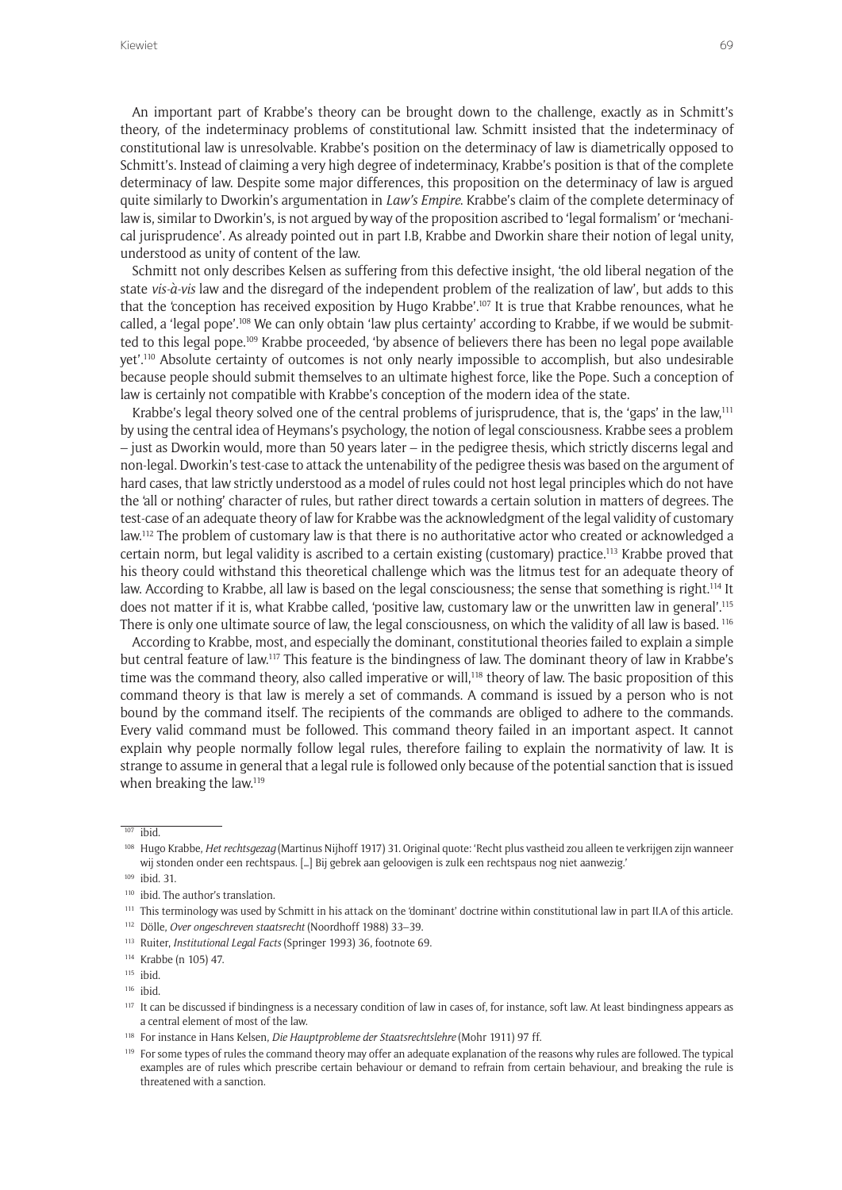An important part of Krabbe's theory can be brought down to the challenge, exactly as in Schmitt's theory, of the indeterminacy problems of constitutional law. Schmitt insisted that the indeterminacy of constitutional law is unresolvable. Krabbe's position on the determinacy of law is diametrically opposed to Schmitt's. Instead of claiming a very high degree of indeterminacy, Krabbe's position is that of the complete determinacy of law. Despite some major differences, this proposition on the determinacy of law is argued quite similarly to Dworkin's argumentation in *Law's Empire*. Krabbe's claim of the complete determinacy of law is, similar to Dworkin's, is not argued by way of the proposition ascribed to 'legal formalism' or 'mechanical jurisprudence'. As already pointed out in part I.B, Krabbe and Dworkin share their notion of legal unity, understood as unity of content of the law.

Schmitt not only describes Kelsen as suffering from this defective insight, 'the old liberal negation of the state *vis-à-vis* law and the disregard of the independent problem of the realization of law', but adds to this that the 'conception has received exposition by Hugo Krabbe'.107 It is true that Krabbe renounces, what he called, a 'legal pope'.<sup>108</sup> We can only obtain 'law plus certainty' according to Krabbe, if we would be submitted to this legal pope.109 Krabbe proceeded, 'by absence of believers there has been no legal pope available yet'.110 Absolute certainty of outcomes is not only nearly impossible to accomplish, but also undesirable because people should submit themselves to an ultimate highest force, like the Pope. Such a conception of law is certainly not compatible with Krabbe's conception of the modern idea of the state.

Krabbe's legal theory solved one of the central problems of jurisprudence, that is, the 'gaps' in the law,<sup>111</sup> by using the central idea of Heymans's psychology, the notion of legal consciousness. Krabbe sees a problem – just as Dworkin would, more than 50 years later – in the pedigree thesis, which strictly discerns legal and non-legal. Dworkin's test-case to attack the untenability of the pedigree thesis was based on the argument of hard cases, that law strictly understood as a model of rules could not host legal principles which do not have the 'all or nothing' character of rules, but rather direct towards a certain solution in matters of degrees. The test-case of an adequate theory of law for Krabbe was the acknowledgment of the legal validity of customary law.112 The problem of customary law is that there is no authoritative actor who created or acknowledged a certain norm, but legal validity is ascribed to a certain existing (customary) practice.113 Krabbe proved that his theory could withstand this theoretical challenge which was the litmus test for an adequate theory of law. According to Krabbe, all law is based on the legal consciousness; the sense that something is right.<sup>114</sup> It does not matter if it is, what Krabbe called, 'positive law, customary law or the unwritten law in general'.115 There is only one ultimate source of law, the legal consciousness, on which the validity of all law is based. <sup>116</sup>

According to Krabbe, most, and especially the dominant, constitutional theories failed to explain a simple but central feature of law.117 This feature is the bindingness of law. The dominant theory of law in Krabbe's time was the command theory, also called imperative or will,<sup>118</sup> theory of law. The basic proposition of this command theory is that law is merely a set of commands. A command is issued by a person who is not bound by the command itself. The recipients of the commands are obliged to adhere to the commands. Every valid command must be followed. This command theory failed in an important aspect. It cannot explain why people normally follow legal rules, therefore failing to explain the normativity of law. It is strange to assume in general that a legal rule is followed only because of the potential sanction that is issued when breaking the law.<sup>119</sup>

<sup>119</sup> For some types of rules the command theory may offer an adequate explanation of the reasons why rules are followed. The typical examples are of rules which prescribe certain behaviour or demand to refrain from certain behaviour, and breaking the rule is threatened with a sanction.

 $\overline{107}$  ibid

<sup>108</sup> Hugo Krabbe, *Het rechtsgezag* (Martinus Nijhoff 1917) 31. Original quote: 'Recht plus vastheid zou alleen te verkrijgen zijn wanneer wij stonden onder een rechtspaus. […] Bij gebrek aan geloovigen is zulk een rechtspaus nog niet aanwezig.'

<sup>109</sup> ibid. 31.

<sup>&</sup>lt;sup>110</sup> ibid. The author's translation.

<sup>111</sup> This terminology was used by Schmitt in his attack on the 'dominant' doctrine within constitutional law in part II.A of this article.

<sup>112</sup> Dölle, *Over ongeschreven staatsrecht* (Noordhoff 1988) 33–39.

<sup>113</sup> Ruiter, *Institutional Legal Facts* (Springer 1993) 36, footnote 69.

<sup>114</sup> Krabbe (n 105) 47.

<sup>115</sup> ibid.

<sup>116</sup> ibid.

<sup>&</sup>lt;sup>117</sup> It can be discussed if bindingness is a necessary condition of law in cases of, for instance, soft law. At least bindingness appears as a central element of most of the law.

<sup>118</sup> For instance in Hans Kelsen, *Die Hauptprobleme der Staatsrechtslehre* (Mohr 1911) 97 ff.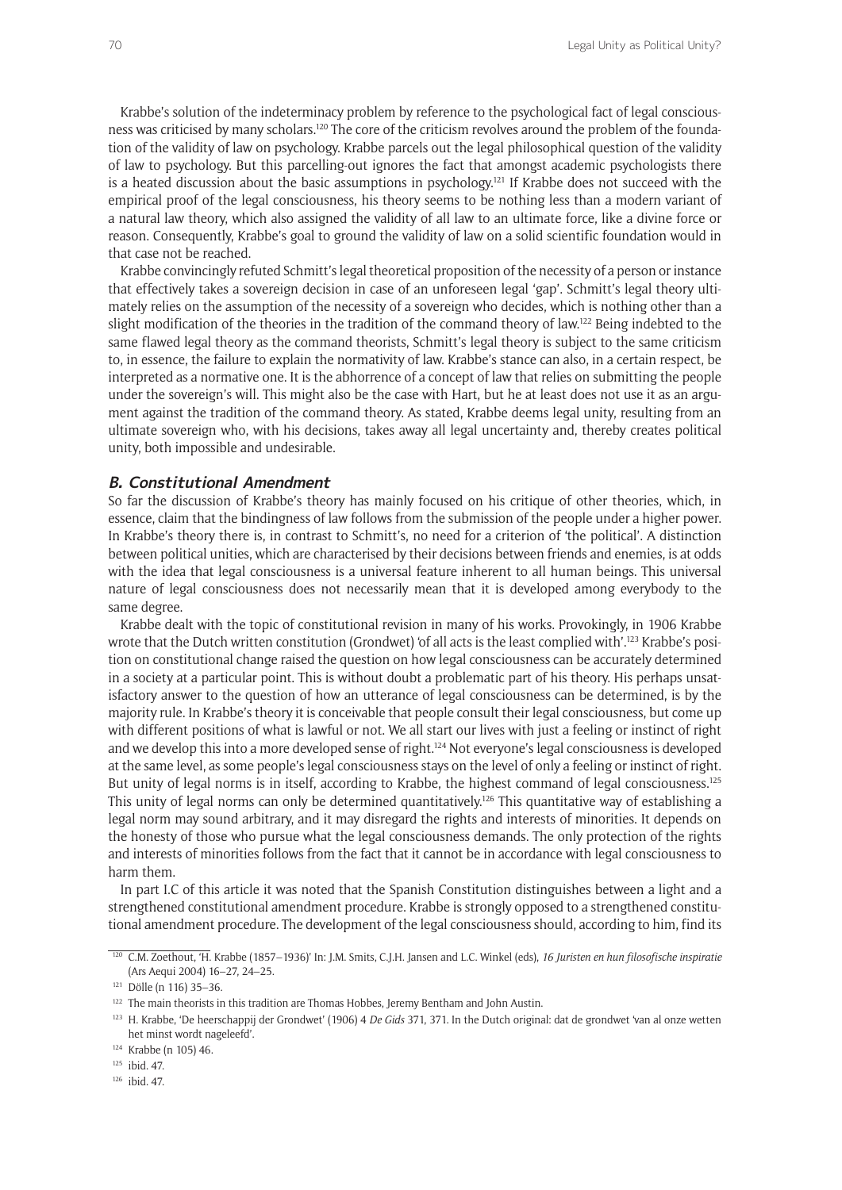Krabbe's solution of the indeterminacy problem by reference to the psychological fact of legal consciousness was criticised by many scholars.120 The core of the criticism revolves around the problem of the foundation of the validity of law on psychology. Krabbe parcels out the legal philosophical question of the validity of law to psychology. But this parcelling-out ignores the fact that amongst academic psychologists there is a heated discussion about the basic assumptions in psychology.<sup>121</sup> If Krabbe does not succeed with the empirical proof of the legal consciousness, his theory seems to be nothing less than a modern variant of a natural law theory, which also assigned the validity of all law to an ultimate force, like a divine force or reason. Consequently, Krabbe's goal to ground the validity of law on a solid scientific foundation would in that case not be reached.

Krabbe convincingly refuted Schmitt's legal theoretical proposition of the necessity of a person or instance that effectively takes a sovereign decision in case of an unforeseen legal 'gap'. Schmitt's legal theory ultimately relies on the assumption of the necessity of a sovereign who decides, which is nothing other than a slight modification of the theories in the tradition of the command theory of law.<sup>122</sup> Being indebted to the same flawed legal theory as the command theorists, Schmitt's legal theory is subject to the same criticism to, in essence, the failure to explain the normativity of law. Krabbe's stance can also, in a certain respect, be interpreted as a normative one. It is the abhorrence of a concept of law that relies on submitting the people under the sovereign's will. This might also be the case with Hart, but he at least does not use it as an argument against the tradition of the command theory. As stated, Krabbe deems legal unity, resulting from an ultimate sovereign who, with his decisions, takes away all legal uncertainty and, thereby creates political unity, both impossible and undesirable.

#### **B. Constitutional Amendment**

So far the discussion of Krabbe's theory has mainly focused on his critique of other theories, which, in essence, claim that the bindingness of law follows from the submission of the people under a higher power. In Krabbe's theory there is, in contrast to Schmitt's, no need for a criterion of 'the political'. A distinction between political unities, which are characterised by their decisions between friends and enemies, is at odds with the idea that legal consciousness is a universal feature inherent to all human beings. This universal nature of legal consciousness does not necessarily mean that it is developed among everybody to the same degree.

Krabbe dealt with the topic of constitutional revision in many of his works. Provokingly, in 1906 Krabbe wrote that the Dutch written constitution (Grondwet) 'of all acts is the least complied with'.<sup>123</sup> Krabbe's position on constitutional change raised the question on how legal consciousness can be accurately determined in a society at a particular point. This is without doubt a problematic part of his theory. His perhaps unsatisfactory answer to the question of how an utterance of legal consciousness can be determined, is by the majority rule. In Krabbe's theory it is conceivable that people consult their legal consciousness, but come up with different positions of what is lawful or not. We all start our lives with just a feeling or instinct of right and we develop this into a more developed sense of right.<sup>124</sup> Not everyone's legal consciousness is developed at the same level, as some people's legal consciousness stays on the level of only a feeling or instinct of right. But unity of legal norms is in itself, according to Krabbe, the highest command of legal consciousness.125 This unity of legal norms can only be determined quantitatively.<sup>126</sup> This quantitative way of establishing a legal norm may sound arbitrary, and it may disregard the rights and interests of minorities. It depends on the honesty of those who pursue what the legal consciousness demands. The only protection of the rights and interests of minorities follows from the fact that it cannot be in accordance with legal consciousness to harm them.

In part I.C of this article it was noted that the Spanish Constitution distinguishes between a light and a strengthened constitutional amendment procedure. Krabbe is strongly opposed to a strengthened constitutional amendment procedure. The development of the legal consciousness should, according to him, find its

<sup>120</sup> C.M. Zoethout, 'H. Krabbe (1857–1936)' In: J.M. Smits, C.J.H. Jansen and L.C. Winkel (eds), *16 Juristen en hun filosofische inspiratie* (Ars Aequi 2004) 16–27, 24–25.

<sup>121</sup> Dölle (n 116) 35–36.

<sup>&</sup>lt;sup>122</sup> The main theorists in this tradition are Thomas Hobbes, Jeremy Bentham and John Austin.

<sup>123</sup> H. Krabbe, 'De heerschappij der Grondwet' (1906) 4 *De Gids* 371, 371. In the Dutch original: dat de grondwet 'van al onze wetten het minst wordt nageleefd'.

<sup>124</sup> Krabbe (n 105) 46.

<sup>125</sup> ibid. 47.

<sup>126</sup> ibid. 47.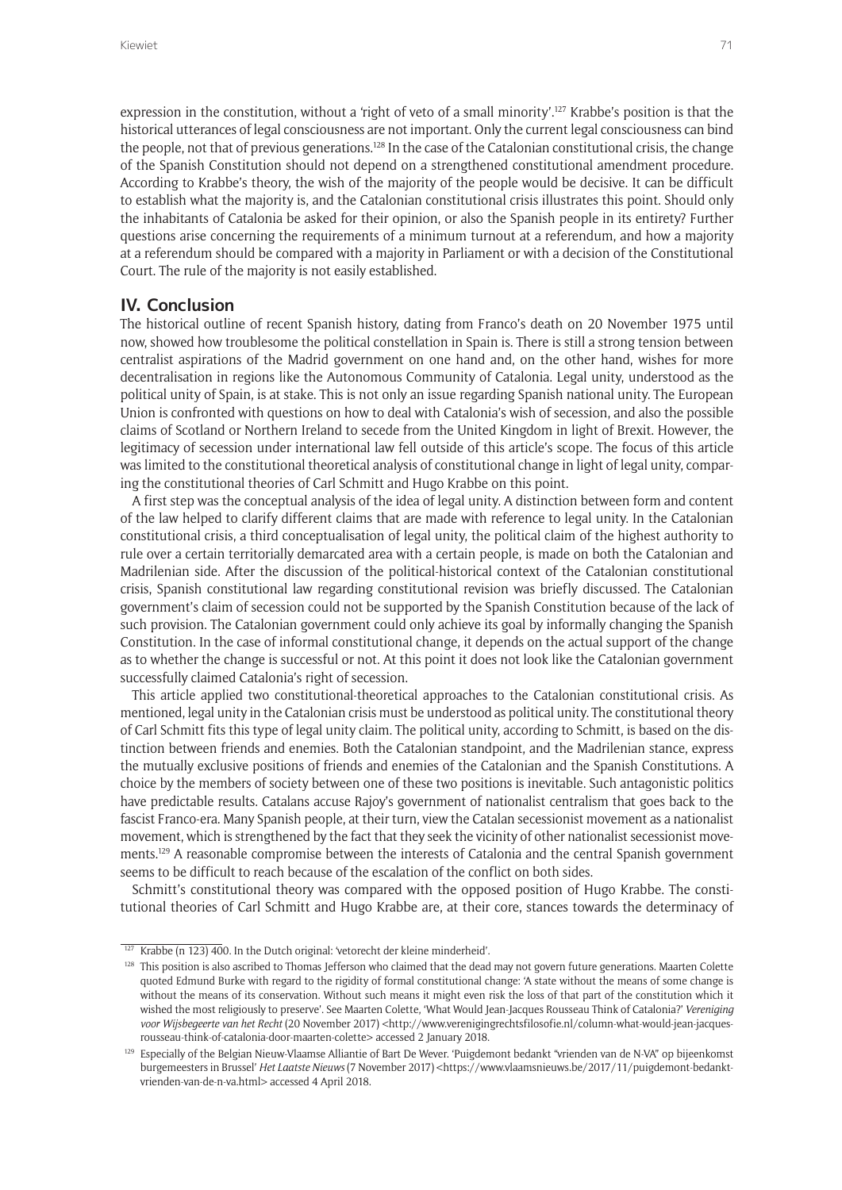expression in the constitution, without a 'right of veto of a small minority'.<sup>127</sup> Krabbe's position is that the historical utterances of legal consciousness are not important. Only the current legal consciousness can bind the people, not that of previous generations.<sup>128</sup> In the case of the Catalonian constitutional crisis, the change of the Spanish Constitution should not depend on a strengthened constitutional amendment procedure. According to Krabbe's theory, the wish of the majority of the people would be decisive. It can be difficult to establish what the majority is, and the Catalonian constitutional crisis illustrates this point. Should only the inhabitants of Catalonia be asked for their opinion, or also the Spanish people in its entirety? Further questions arise concerning the requirements of a minimum turnout at a referendum, and how a majority at a referendum should be compared with a majority in Parliament or with a decision of the Constitutional Court. The rule of the majority is not easily established.

### **IV. Conclusion**

The historical outline of recent Spanish history, dating from Franco's death on 20 November 1975 until now, showed how troublesome the political constellation in Spain is. There is still a strong tension between centralist aspirations of the Madrid government on one hand and, on the other hand, wishes for more decentralisation in regions like the Autonomous Community of Catalonia. Legal unity, understood as the political unity of Spain, is at stake. This is not only an issue regarding Spanish national unity. The European Union is confronted with questions on how to deal with Catalonia's wish of secession, and also the possible claims of Scotland or Northern Ireland to secede from the United Kingdom in light of Brexit. However, the legitimacy of secession under international law fell outside of this article's scope. The focus of this article was limited to the constitutional theoretical analysis of constitutional change in light of legal unity, comparing the constitutional theories of Carl Schmitt and Hugo Krabbe on this point.

A first step was the conceptual analysis of the idea of legal unity. A distinction between form and content of the law helped to clarify different claims that are made with reference to legal unity. In the Catalonian constitutional crisis, a third conceptualisation of legal unity, the political claim of the highest authority to rule over a certain territorially demarcated area with a certain people, is made on both the Catalonian and Madrilenian side. After the discussion of the political-historical context of the Catalonian constitutional crisis, Spanish constitutional law regarding constitutional revision was briefly discussed. The Catalonian government's claim of secession could not be supported by the Spanish Constitution because of the lack of such provision. The Catalonian government could only achieve its goal by informally changing the Spanish Constitution. In the case of informal constitutional change, it depends on the actual support of the change as to whether the change is successful or not. At this point it does not look like the Catalonian government successfully claimed Catalonia's right of secession.

This article applied two constitutional-theoretical approaches to the Catalonian constitutional crisis. As mentioned, legal unity in the Catalonian crisis must be understood as political unity. The constitutional theory of Carl Schmitt fits this type of legal unity claim. The political unity, according to Schmitt, is based on the distinction between friends and enemies. Both the Catalonian standpoint, and the Madrilenian stance, express the mutually exclusive positions of friends and enemies of the Catalonian and the Spanish Constitutions. A choice by the members of society between one of these two positions is inevitable. Such antagonistic politics have predictable results. Catalans accuse Rajoy's government of nationalist centralism that goes back to the fascist Franco-era. Many Spanish people, at their turn, view the Catalan secessionist movement as a nationalist movement, which is strengthened by the fact that they seek the vicinity of other nationalist secessionist movements.129 A reasonable compromise between the interests of Catalonia and the central Spanish government seems to be difficult to reach because of the escalation of the conflict on both sides.

Schmitt's constitutional theory was compared with the opposed position of Hugo Krabbe. The constitutional theories of Carl Schmitt and Hugo Krabbe are, at their core, stances towards the determinacy of

 $\frac{127 \text{ Krabbe (n 123) } 400.1 \text{h}$  the Dutch original: 'vetorecht der kleine minderheid'.

<sup>&</sup>lt;sup>128</sup> This position is also ascribed to Thomas Jefferson who claimed that the dead may not govern future generations. Maarten Colette quoted Edmund Burke with regard to the rigidity of formal constitutional change: 'A state without the means of some change is without the means of its conservation. Without such means it might even risk the loss of that part of the constitution which it wished the most religiously to preserve'. See Maarten Colette, 'What Would Jean-Jacques Rousseau Think of Catalonia?' *Vereniging*  voor Wijsbegeerte van het Recht (20 November 2017) <[http://www.verenigingrechtsfilosofie.nl/column-what-would-jean-jacques](http://www.verenigingrechtsfilosofie.nl/column-what-would-jean-jacques-rousseau-think-of-catalonia-door-maarten-colette)[rousseau-think-of-catalonia-door-maarten-colette](http://www.verenigingrechtsfilosofie.nl/column-what-would-jean-jacques-rousseau-think-of-catalonia-door-maarten-colette)> accessed 2 January 2018.

<sup>&</sup>lt;sup>129</sup> Especially of the Belgian Nieuw-Vlaamse Alliantie of Bart De Wever. 'Puigdemont bedankt "vrienden van de N-VA" op bijeenkomst burgemeesters in Brussel' *Het Laatste Nieuws* (7 November 2017) [<https://www.vlaamsnieuws.be/2017/11/puigdemont-bedankt](https://www.vlaamsnieuws.be/2017/11/puigdemont-bedankt-vrienden-van-de-n-va.html)[vrienden-van-de-n-va.html](https://www.vlaamsnieuws.be/2017/11/puigdemont-bedankt-vrienden-van-de-n-va.html)> accessed 4 April 2018.